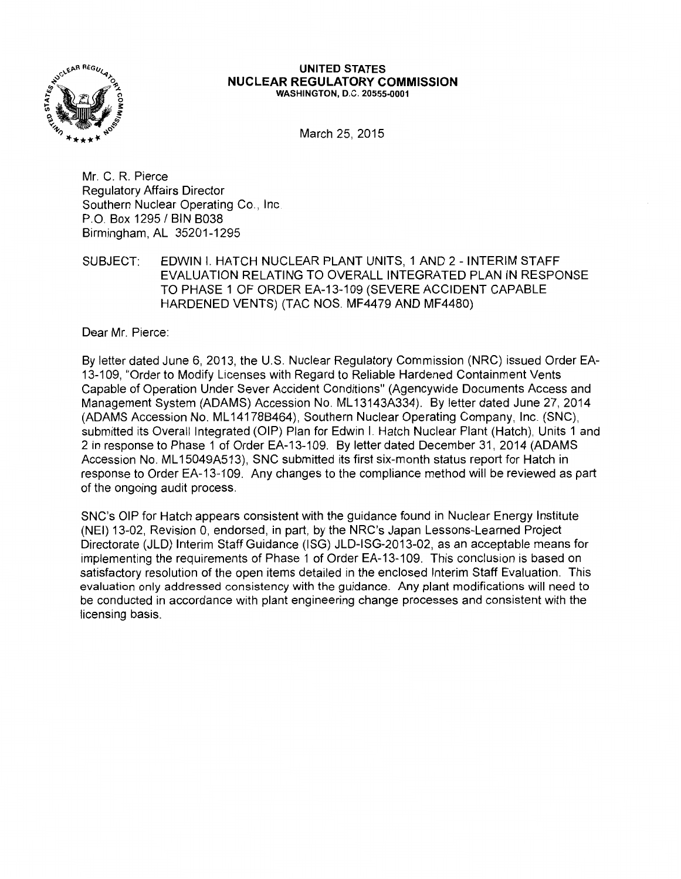

#### **UNITED STATES NUCLEAR REGULATORY COMMISSION**  WASHINGTON, D.C. 20555-0001

March 25, 2015

Mr. C. R. Pierce Regulatory Affairs Director Southern Nuclear Operating Co., Inc. P.O. Box 1295 / BIN B038 Birmingham, AL 35201-1295

SUBJECT: EDWIN I. HATCH NUCLEAR PLANT UNITS, 1 AND 2 - INTERIM STAFF EVALUATION RELATING TO OVERALL INTEGRATED PLAN IN RESPONSE TO PHASE 1 OF ORDER EA-13-109 (SEVERE ACCIDENT CAPABLE HARDENED VENTS) (TAC NOS. MF4479 AND MF4480)

Dear Mr. Pierce:

By letter dated June 6, 2013, the U.S. Nuclear Regulatory Commission (NRC) issued Order EA-13-109, "Order to Modify Licenses with Regard to Reliable Hardened Containment Vents Capable of Operation Under Sever Accident Conditions" (Agencywide Documents Access and Management System (ADAMS) Accession No. ML 13143A334). By letter dated June 27, 2014 (ADAMS Accession No. ML 14178B464), Southern Nuclear Operating Company, Inc. (SNC), submitted its Overall Integrated (OIP) Plan for Edwin I. Hatch Nuclear Plant (Hatch), Units 1 and 2 in response to Phase 1 of Order EA-13-109. By letter dated December 31, 2014 (ADAMS Accession No. ML 15049A513), SNC submitted its first six-month status report for Hatch in response to Order EA-13-109. Any changes to the compliance method will be reviewed as part of the ongoing audit process.

SNC's OIP for Hatch appears consistent with the guidance found in Nuclear Energy Institute (NEI) 13-02, Revision 0, endorsed, in part, by the NRC's Japan Lessons-Learned Project Directorate (JLD) Interim Staff Guidance (ISG) JLD-ISG-2013-02, as an acceptable means for implementing the requirements of Phase 1 of Order EA-13-109. This conclusion is based on satisfactory resolution of the open items detailed in the enclosed Interim Staff Evaluation. This evaluation only addressed consistency with the guidance. Any plant modifications will need to be conducted in accordance with plant engineering change processes and consistent with the licensing basis.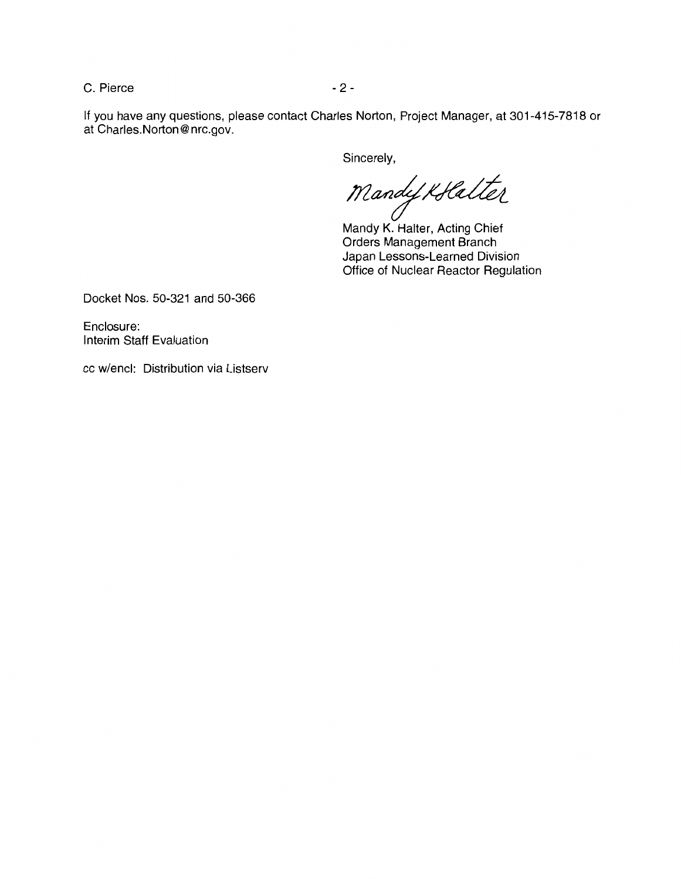C. Pierce - 2 -

If you have any questions, please contact Charles Norton, Project Manager, at 301-415-7818 or at Charles.Norton@nrc.gov.

Sincerely,

Mandy Kollatter

Mandy K. Halter, Acting Chief Orders Management Branch Japan Lessons-Learned Division Office of Nuclear Reactor Regulation

Docket Nos. 50-321 and 50-366

Enclosure: Interim Staff Evaluation

cc w/encl: Distribution via Listserv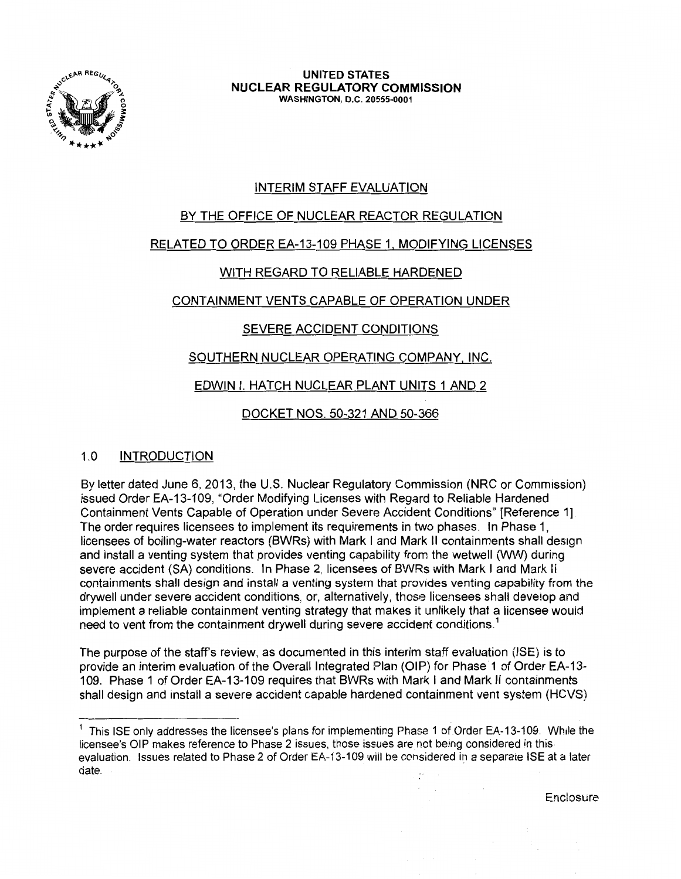

**UNITED STATES NUCLEAR REGULATORY COMMISSION**  WASHINGTON, D.C. 20555-0001

# INTERIM STAFF EVALUATION

## BY THE OFFICE OF NUCLEAR REACTOR REGULATION

## RELATED TO ORDER EA-13-109 PHASE 1, MODIFYING LICENSES

## WITH REGARD TO RELIABLE HARDENED

## CONTAINMENT VENTS CAPABLE OF OPERATION UNDER

## SEVERE ACCIDENT CONDITIONS

## SOUTHERN NUCLEAR OPERATING COMPANY. INC.

## EDWIN I. HATCH NUCLEAR PLANT UNITS 1 AND 2

DOCKET NOS. 50-321 AND 50-366

## 1.0 INTRODUCTION

By letter dated June 6, 2013, the U.S. Nuclear Regulatory Commission (NRC or Commission) issued Order EA-13-109, "Order Modifying Licenses with Regard to Reliable Hardened Containment Vents Capable of Operation under Severe Accident Conditions" [Reference 1] The order requires licensees to implement its requirements in two phases. In Phase 1, licensees of boiling-water reactors (BWRs) with Mark I and Mark II containments shall design and install a venting system that provides venting capability from the wetwell (WW) during severe accident (SA) conditions. In Phase 2, licensees of BWRs with Mark I and Mark Ii containments shall design and install a venting system that provides venting capability from the drywell under severe accident conditions, or, alternatively, those licensees shall develop and implement a reliable containment venting strategy that makes it unlikely that a licensee would need to vent from the containment drywell during severe accident conditions.<sup>1</sup>

The purpose of the staff's review, as documented in this interim staff evaluation (ISE) is to provide an interim evaluation of the Overall Integrated Plan (OIP) for Phase 1 of Order EA-13- 109. Phase 1 of Order EA-13-109 requires that BWRs with Mark I and Mark II containments shall design and install a severe accident capable hardened containment vent system (HCVS)

 $\sim$ 

 $<sup>1</sup>$  This ISE only addresses the licensee's plans for implementing Phase 1 of Order EA-13-109. While the</sup> licensee's OIP makes reference to Phase 2 issues, those issues are not being considered in this evaluation. Issues related to Phase 2 of Order EA-13-109 will be considered in a separate ISE at a later date.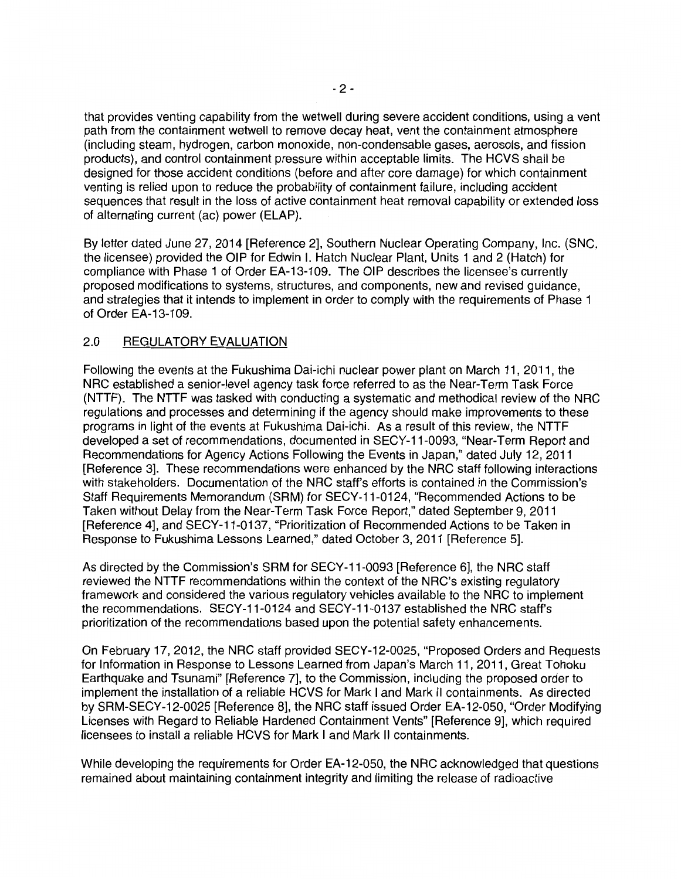that provides venting capability from the wetwell during severe accident conditions, using a vent path from the containment wetwell to remove decay heat, vent the containment atmosphere (including steam, hydrogen, carbon monoxide, non-condensable gases, aerosols, and fission products), and control containment pressure within acceptable limits. The HCVS shall be designed for those accident conditions (before and after core damage) for which containment venting is relied upon to reduce the probability of containment failure, including accident sequences that result in the loss of active containment heat removal capability or extended loss of alternating current (ac) power (ELAP).

By letter dated June 27, 2014 [Reference 2], Southern Nuclear Operating Company, Inc. (SNC, the licensee) provided the OIP for Edwin I. Hatch Nuclear Plant, Units 1 and 2 (Hatch) for compliance with Phase 1 of Order EA-13-109. The OIP describes the licensee's currently proposed modifications to systems, structures, and components, new and revised guidance, and strategies that it intends to implement in order to comply with the requirements of Phase 1 of Order EA-13-109.

## 2.0 REGULATORY EVALUATION

Following the events at the Fukushima Dai-ichi nuclear power plant on March 11, 2011, the NRG established a senior-level agency task force referred to as the Near-Term Task Force (NTTF}. The NTTF was tasked with conducting a systematic and methodical review of the NRG regulations and processes and determining if the agency should make improvements to these programs in light of the events at Fukushima Dai-ichi. As a result of this review, the NTTF developed a set of recommendations, documented in SECY-11-0093, "Near-Term Report and Recommendations for Agency Actions Following the Events in Japan," dated July 12, 2011 [Reference 3]. These recommendations were enhanced by the NRG staff following interactions with stakeholders. Documentation of the NRG staff's efforts is contained in the Commission's Staff Requirements Memorandum (SAM) for SECY-11-0124, "Recommended Actions to be Taken without Delay from the Near-Term Task Force Report," dated September 9, 2011 [Reference 4], and SECY-11-0137, "Prioritization of Recommended Actions to be Taken in Response to Fukushima Lessons Learned," dated October 3, 2011 [Reference 5].

As directed by the Commission's SRM for SECY-11-0093 [Reference 6], the NRG staff reviewed the NTTF recommendations within the context of the NRC's existing regulatory framework and considered the various regulatory vehicles available to the NRG to implement the recommendations. SECY-11-0124 and SECY-11-0137 established the NRG staff's prioritization of the recommendations based upon the potential safety enhancements.

On February 17, 2012, the NRG staff provided SECY-12-0025, "Proposed Orders and Requests for Information in Response to Lessons Learned from Japan's March 11, 2011, Great Tohoku Earthquake and Tsunami" [Reference 7], to the Commission, including the proposed order to implement the installation of a reliable HCVS for Mark I and Mark II containments. As directed by SRM-SECY-12-0025 [Reference 8], the NRG staff issued Order EA-12-050, "Order Modifying Licenses with Regard to Reliable Hardened Containment Vents" [Reference 9], which required licensees to install a reliable HCVS for Mark I and Mark II containments.

While developing the requirements for Order EA-12-050, the NRG acknowledged that questions remained about maintaining containment integrity and limiting the release of radioactive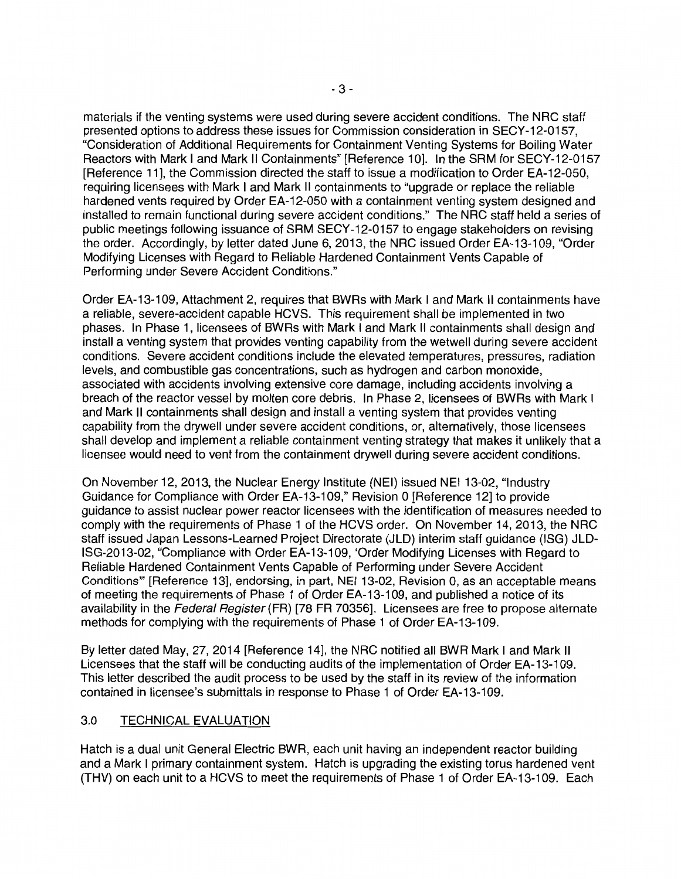materials if the venting systems were used during severe accident conditions. The NRC staff presented options to address these issues for Commission consideration in SECY-12-0157, "Consideration of Additional Requirements for Containment Venting Systems for Boiling Water Reactors with Mark I and Mark II Containments" [Reference 10]. In the SRM for SECY-12-0157 [Reference 11], the Commission directed the staff to issue a modification to Order EA-12-050, requiring licensees with Mark I and Mark II containments to "upgrade or replace the reliable hardened vents required by Order EA-12-050 with a containment venting system designed and installed to remain functional during severe accident conditions." The NRC staff held a series of public meetings following issuance of SRM SECY-12-0157 to engage stakeholders on revising the order. Accordingly, by letter dated June 6, 2013, the NRC issued Order EA-13-109, "Order Modifying Licenses with Regard to Reliable Hardened Containment Vents Capable of Performing under Severe Accident Conditions."

Order EA-13-109, Attachment 2, requires that BWRs with Mark I and Mark II containments have a reliable, severe-accident capable HCVS. This requirement shall be implemented in two phases. In Phase 1, licensees of BWRs with Mark I and Mark II containments shall design and install a venting system that provides venting capability from the wetwell during severe accident conditions. Severe accident conditions include the elevated temperatures, pressures, radiation levels, and combustible gas concentrations, such as hydrogen and carbon monoxide, associated with accidents involving extensive core damage, including accidents involving a breach of the reactor vessel by molten core debris. In Phase 2, licensees of BWRs with Mark I and Mark II containments shall design and install a venting system that provides venting capability from the drywell under severe accident conditions, or, alternatively, those licensees shall develop and implement a reliable containment venting strategy that makes it unlikely that a licensee would need to vent from the containment drywell during severe accident conditions.

On November 12, 2013, the Nuclear Energy Institute (NEI) issued NEI 13-02, "Industry Guidance for Compliance with Order EA-13-109," Revision 0 [Reference 12] to provide guidance to assist nuclear power reactor licensees with the identification of measures needed to comply with the requirements of Phase 1 of the HCVS order. On November 14, 2013, the NRC staff issued Japan Lessons-Learned Project Directorate (JLD) interim staff guidance {ISG) JLD-ISG-2013-02, "Compliance with Order EA-13-109, 'Order Modifying Licenses with Regard to Reliable Hardened Containment Vents Capable of Performing under Severe Accident Conditions"' [Reference 13], endorsing, in part, NEI 13-02, Revision 0, as an acceptable means of meeting the requirements of Phase 1 of Order EA-13-109, and published a notice of its availability in the Federal Register (FR) [78 FR 70356]. Licensees are free to propose alternate methods for complying with the requirements of Phase 1 of Order EA-13-109.

By letter dated May, 27, 2014 [Reference 14], the NRC notified all BWR Mark I and Mark II Licensees that the staff will be conducting audits of the implementation of Order EA-13-109. This letter described the audit process to be used by the staff in its review of the information contained in licensee's submittals in response to Phase 1 of Order EA-13-109.

## 3.0 TECHNICAL EVALUATION

Hatch is a dual unit General Electric BWR, each unit having an independent reactor building and a Mark I primary containment system. Hatch is upgrading the existing torus hardened vent {THV) on each unit to a HCVS to meet the requirements of Phase 1 of Order EA-13-109. Each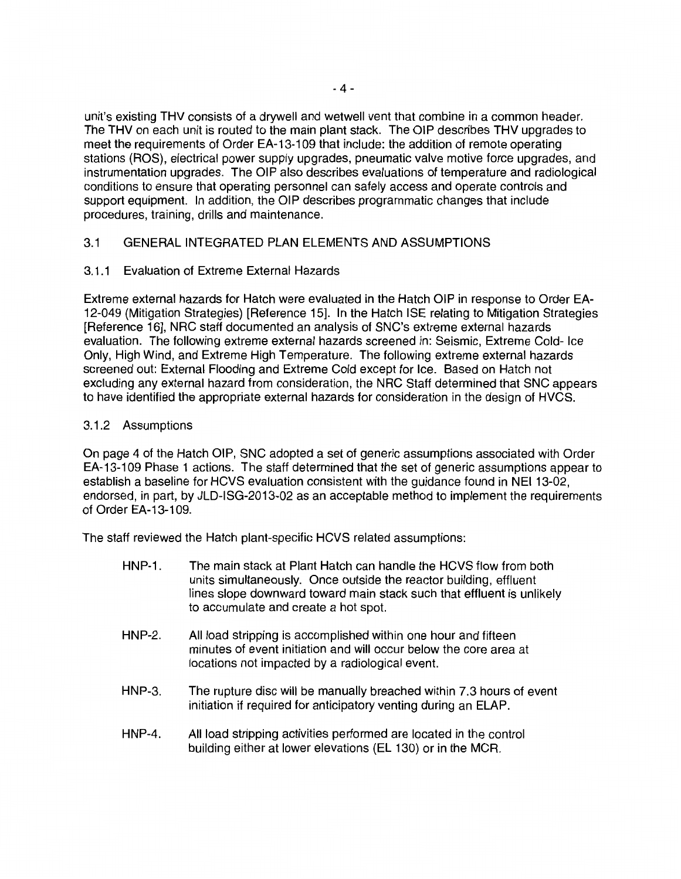unit's existing THV consists of a drywell and wetwell vent that combine in a common header. The THV on each unit is routed to the main plant stack. The OIP describes THV upgrades to meet the requirements of Order EA-13-109 that include: the addition of remote operating stations (ROS), electrical power supply upgrades, pneumatic valve motive force upgrades, and instrumentation upgrades. The OIP also describes evaluations of temperature and radiological conditions to ensure that operating personnel can safely access and operate controls and support equipment. In addition, the OIP describes programmatic changes that include procedures, training, drills and maintenance.

## 3.1 GENERAL INTEGRATED PLAN ELEMENTS AND ASSUMPTIONS

### 3.1.1 Evaluation of Extreme External Hazards

Extreme external hazards for Hatch were evaluated in the Hatch OIP in response to Order EA-12-049 (Mitigation Strategies) [Reference 15]. In the Hatch ISE relating to Mitigation Strategies [Reference 16], NRC staff documented an analysis of SNC's extreme external hazards evaluation. The following extreme external hazards screened in: Seismic, Extreme Cold- Ice Only, High Wind, and Extreme High Temperature. The following extreme external hazards screened out: External Flooding and Extreme Cold except for Ice. Based on Hatch not excluding any external hazard from consideration, the NRC Staff determined that SNC appears to have identified the appropriate external hazards for consideration in the design of HVCS.

### 3.1.2 Assumptions

On page 4 of the Hatch OIP, SNC adopted a set of generic assumptions associated with Order EA-13-109 Phase 1 actions. The staff determined that the set of generic assumptions appear to establish a baseline for HCVS evaluation consistent with the guidance found in NEI 13-02, endorsed, in part, by JLD-ISG-2013-02 as an acceptable method to implement the requirements of Order EA-13-109.

The staff reviewed the Hatch plant-specific HCVS related assumptions:

- HNP-1. The main stack at Plant Hatch can handle the HCVS flow from both units simultaneously. Once outside the reactor building, effluent lines slope downward toward main stack such that effluent is unlikely to accumulate and create a hot spot.
- HNP-2. All load stripping is accomplished within one hour and fifteen minutes of event initiation and will occur below the core area at locations not impacted by a radiological event.
- HNP-3. The rupture disc will be manually breached within 7.3 hours of event initiation if required for anticipatory venting during an ELAP.
- HNP-4. All load stripping activities performed are located in the control building either at lower elevations (EL 130) or in the MCR.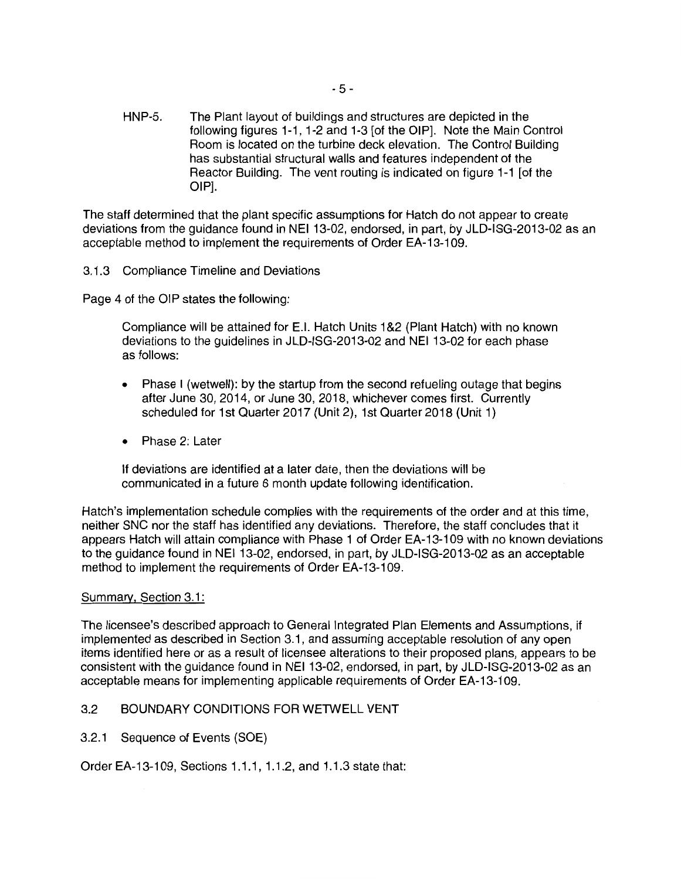HNP-5. The Plant layout of buildings and structures are depicted in the following figures 1-1, 1-2 and 1-3 [of the OIP]. Note the Main Control Room is located on the turbine deck elevation. The Control Building has substantial structural walls and features independent of the Reactor Building. The vent routing is indicated on figure 1-1 [of the OIP].

The staff determined that the plant specific assumptions for Hatch do not appear to create deviations from the guidance found in NEI 13-02, endorsed, in part, by JLD-ISG-2013-02 as an acceptable method to implement the requirements of Order EA-13-109.

### 3.1.3 Compliance Timeline and Deviations

Page 4 of the OIP states the following:

Compliance will be attained for E.1. Hatch Units 1 &2 (Plant Hatch) with no known deviations to the guidelines in JLD-ISG-2013-02 and NEI 13-02 for each phase as follows:

- Phase I (wetwell): by the startup from the second refueling outage that begins after June 30, 2014, or June 30, 2018, whichever comes first. Currently scheduled for 1st Quarter 2017 (Unit 2), 1st Quarter 2018 (Unit 1)
- Phase 2: Later

If deviations are identified at a later date, then the deviations will be communicated in a future 6 month update following identification.

Hatch's implementation schedule complies with the requirements of the order and at this time, neither SNC nor the staff has identified any deviations. Therefore, the staff concludes that it appears Hatch will attain compliance with Phase 1 of Order EA-13-109 with no known deviations to the guidance found in NEI 13-02, endorsed, in part, by JLD-ISG-2013-02 as an acceptable method to implement the requirements of Order EA-13-109.

#### Summary, Section 3.1:

The licensee's described approach to General Integrated Plan Elements and Assumptions, if implemented as described in Section 3.1, and assuming acceptable resolution of any open items identified here or as a result of licensee alterations to their proposed plans, appears to be consistent with the guidance found in NEI 13-02, endorsed, in part, by JLD-ISG-2013-02 as an acceptable means for implementing applicable requirements of Order EA-13-109.

### 3.2 BOUNDARY CONDITIONS FOR WETWELL VENT

3.2.1 Sequence of Events (SOE)

Order EA-13-109, Sections 1.1.1, 1.1.2, and 1.1.3 state that: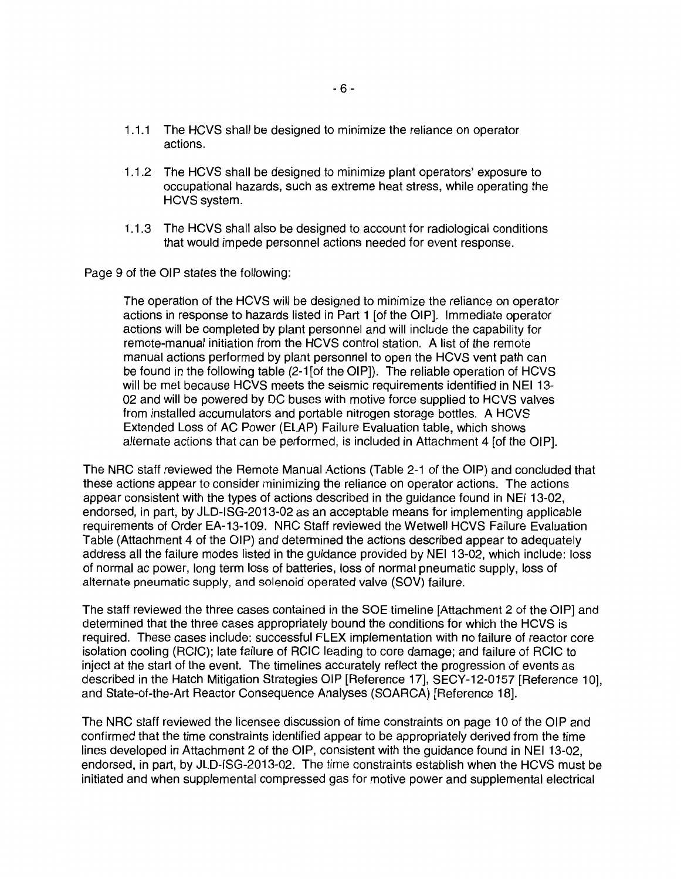- 1.1.1 The HCVS shall be designed to minimize the reliance on operator actions.
- 1.1.2 The HCVS shall be designed to minimize plant operators' exposure to occupational hazards, such as extreme heat stress, while operating the HCVS system.
- 1.1.3 The HCVS shall also be designed to account for radiological conditions that would impede personnel actions needed for event response.

Page 9 of the OIP states the following:

The operation of the HCVS will be designed to minimize the reliance on operator actions in response to hazards listed in Part 1 [of the OIP]. Immediate operator actions will be completed by plant personnel and will include the capability for remote-manual initiation from the HCVS control station. A list of the remote manual actions performed by plant personnel to open the HCVS vent path can be found in the following table (2-1 [of the OIP]). The reliable operation of HCVS will be met because HCVS meets the seismic requirements identified in NEI 13- 02 and will be powered by DC buses with motive force supplied to HCVS valves from installed accumulators and portable nitrogen storage bottles. A HCVS Extended Loss of AC Power (ELAP) Failure Evaluation table, which shows alternate actions that can be performed, is included in Attachment 4 [of the OIP].

The NRG staff reviewed the Remote Manual Actions (Table 2-1 of the OIP) and concluded that these actions appear to consider minimizing the reliance on operator actions. The actions appear consistent with the types of actions described in the guidance found in NEI 13-02, endorsed, in part, by JLD-ISG-2013-02 as an acceptable means for implementing applicable requirements of Order EA-13-109. NRG Staff reviewed the Wetwell HCVS Failure Evaluation Table (Attachment 4 of the OIP) and determined the actions described appear to adequately address all the failure modes listed in the guidance provided by NEI 13-02, which include: loss of normal ac power, long term loss of batteries, loss of normal pneumatic supply, loss of alternate pneumatic supply, and solenoid operated valve (SOV) failure.

The staff reviewed the three cases contained in the SOE timeline [Attachment 2 of the OIP] and determined that the three cases appropriately bound the conditions for which the HCVS is required. These cases include: successful FLEX implementation with no failure of reactor core isolation cooling (RCIC); late failure of RCIC leading to core damage; and failure of RCIC to inject at the start of the event. The timelines accurately reflect the progression of events as described in the Hatch Mitigation Strategies OIP [Reference 17], SECY-12-0157 [Reference 10], and State-of-the-Art Reactor Consequence Analyses (SOARCA) [Reference 18].

The NRG staff reviewed the licensee discussion of time constraints on page 10 of the OIP and confirmed that the time constraints identified appear to be appropriately derived from the time lines developed in Attachment 2 of the OIP, consistent with the guidance found in NEI 13-02, endorsed, in part, by JLD-ISG-2013-02. The time constraints establish when the HCVS must be initiated and when supplemental compressed gas for motive power and supplemental electrical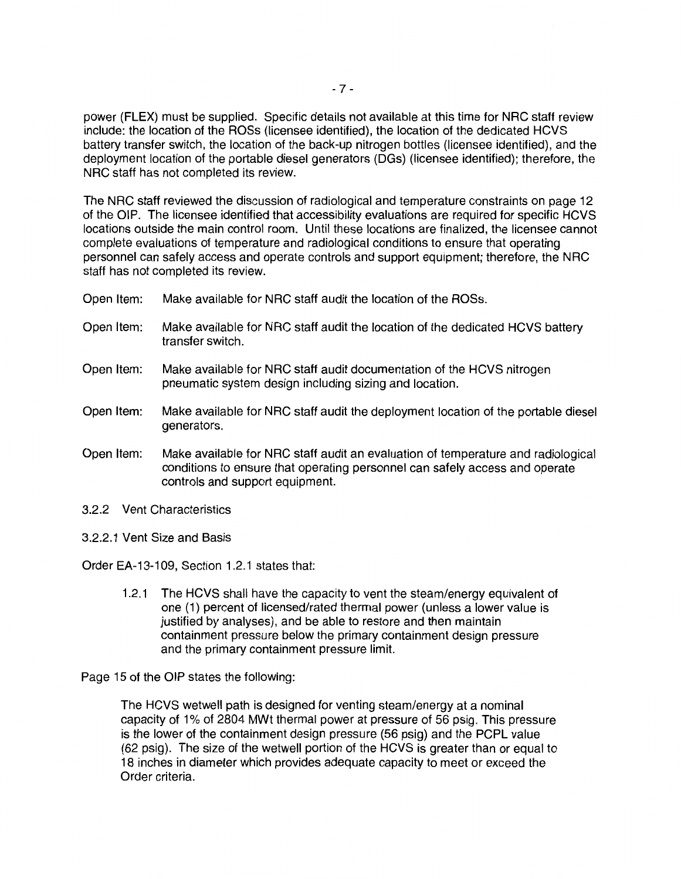power (FLEX) must be supplied. Specific details not available at this time for NRC staff review include: the location of the ROSs (licensee identified), the location of the dedicated HCVS battery transfer switch, the location of the back-up nitrogen bottles (licensee identified), and the deployment location of the portable diesel generators (DGs) (licensee identified); therefore, the NRC staff has not completed its review.

The NRC staff reviewed the discussion of radiological and temperature constraints on page 12 of the OIP. The licensee identified that accessibility evaluations are required for specific HCVS locations outside the main control room. Until these locations are finalized, the licensee cannot complete evaluations of temperature and radiological conditions to ensure that operating personnel can safely access and operate controls and support equipment; therefore, the NRC staff has not completed its review.

- Open Item: Make available for NRC staff audit the location of the ROSs.
- Open Item: Make available for NRC staff audit the location of the dedicated HCVS battery transfer switch.
- Open Item: Make available for NRC staff audit documentation of the HCVS nitrogen pneumatic system design including sizing and location.
- Open Item: Make available for NRC staff audit the deployment location of the portable diesel generators.
- Open Item: Make available for NRC staff audit an evaluation of temperature and radiological conditions to ensure that operating personnel can safely access and operate controls and support equipment.
- 3.2.2 Vent Characteristics
- 3.2.2.1 Vent Size and Basis

Order EA-13-109, Section 1.2.1 states that:

1.2.1 The HCVS shall have the capacity to vent the steam/energy equivalent of one (1) percent of licensed/rated thermal power (unless a lower value is justified by analyses), and be able to restore and then maintain containment pressure below the primary containment design pressure and the primary containment pressure limit.

Page 15 of the OIP states the following:

The HCVS wetwell path is designed for venting steam/energy at a nominal capacity of 1 % of 2804 MWt thermal power at pressure of 56 psig. This pressure is the lower of the containment design pressure (56 psig) and the PCPL value (62 psig). The size of the wetwell portion of the HCVS is greater than or equal to 18 inches in diameter which provides adequate capacity to meet or exceed the Order criteria.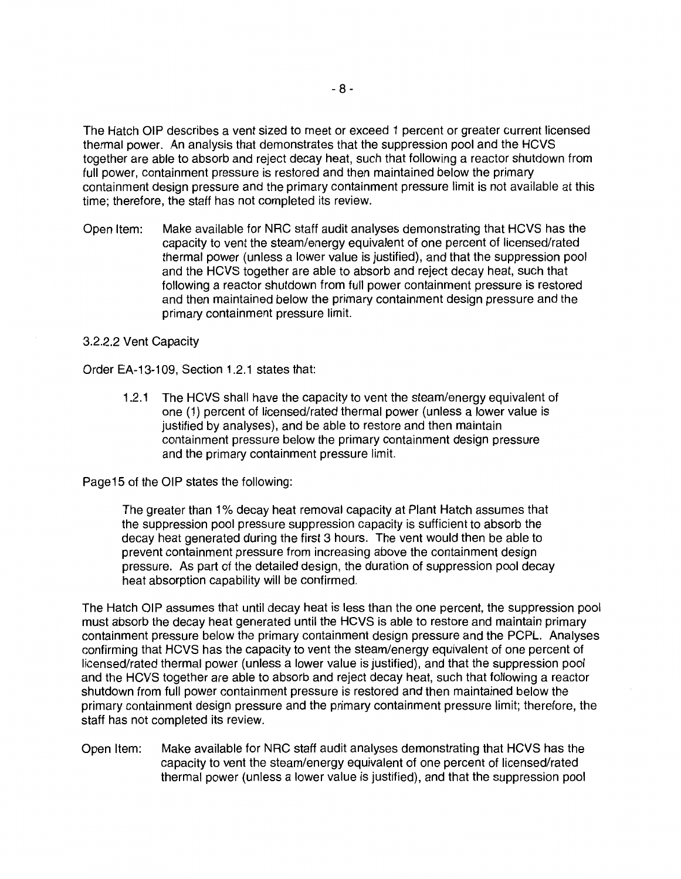The Hatch OIP describes a vent sized to meet or exceed 1 percent or greater current licensed thermal power. An analysis that demonstrates that the suppression pool and the HCVS together are able to absorb and reject decay heat, such that following a reactor shutdown from full power, containment pressure is restored and then maintained below the primary containment design pressure and the primary containment pressure limit is not available at this time; therefore, the staff has not completed its review.

Open Item: Make available for NRC staff audit analyses demonstrating that HCVS has the capacity to vent the steam/energy equivalent of one percent of licensed/rated thermal power (unless a lower value is justified), and that the suppression pool and the HCVS together are able to absorb and reject decay heat, such that following a reactor shutdown from full power containment pressure is restored and then maintained below the primary containment design pressure and the primary containment pressure limit.

#### 3.2.2.2 Vent Capacity

Order EA-13-109, Section 1.2.1 states that:

1.2.1 The HCVS shall have the capacity to vent the steam/energy equivalent of one (1) percent of licensed/rated thermal power (unless a lower value is justified by analyses), and be able to restore and then maintain containment pressure below the primary containment design pressure and the primary containment pressure limit.

Page15 of the OIP states the following:

The greater than 1% decay heat removal capacity at Plant Hatch assumes that the suppression pool pressure suppression capacity is sufficient to absorb the decay heat generated during the first 3 hours. The vent would then be able to prevent containment pressure from increasing above the containment design pressure. As part of the detailed design, the duration of suppression pool decay heat absorption capability will be confirmed.

The Hatch OIP assumes that until decay heat is less than the one percent, the suppression pool must absorb the decay heat generated until the HCVS is able to restore and maintain primary containment pressure below the primary containment design pressure and the PCPL. Analyses confirming that HCVS has the capacity to vent the steam/energy equivalent of one percent of licensed/rated thermal power (unless a lower value is justified), and that the suppression pool and the HCVS together are able to absorb and reject decay heat, such that following a reactor shutdown from full power containment pressure is restored and then maintained below the primary containment design pressure and the primary containment pressure limit; therefore, the staff has not completed its review.

Open Item: Make available for NRC staff audit analyses demonstrating that HCVS has the capacity to vent the steam/energy equivalent of one percent of licensed/rated thermal power (unless a lower value is justified), and that the suppression pool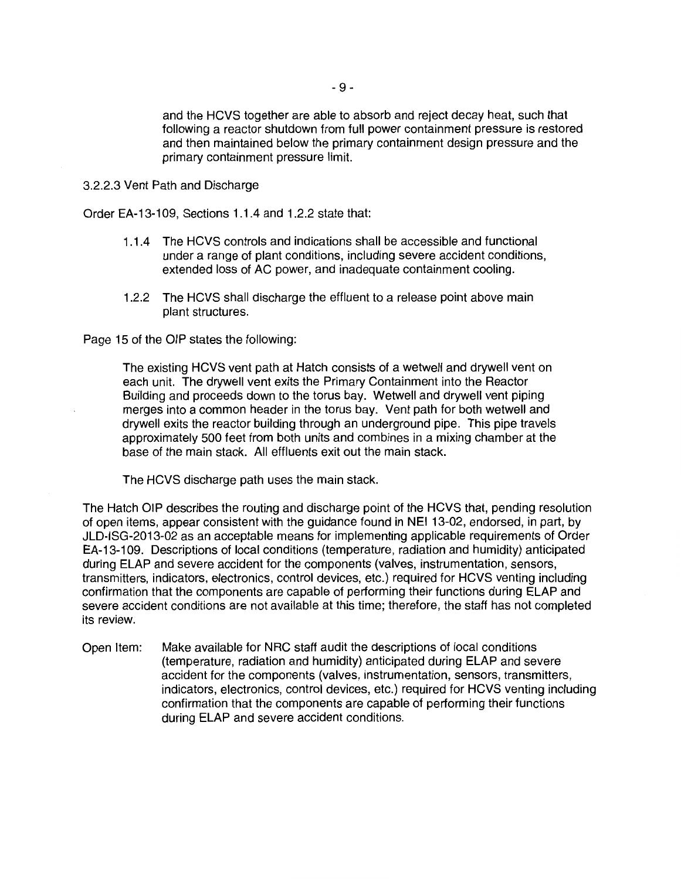and the HCVS together are able to absorb and reject decay heat, such that following a reactor shutdown from full power containment pressure is restored and then maintained below the primary containment design pressure and the primary containment pressure limit.

3.2.2.3 Vent Path and Discharge

Order EA-13-109, Sections 1.1.4 and 1.2.2 state that:

- 1.1.4 The HCVS controls and indications shall be accessible and functional under a range of plant conditions, including severe accident conditions, extended loss of AC power, and inadequate containment cooling.
- 1.2.2 The HCVS shall discharge the effluent to a release point above main plant structures.

Page 15 of the OIP states the following:

The existing HCVS vent path at Hatch consists of a wetwell and drywell vent on each unit. The drywell vent exits the Primary Containment into the Reactor Building and proceeds down to the torus bay. Wetwell and drywell vent piping merges into a common header in the torus bay. Vent path for both wetwell and drywell exits the reactor building through an underground pipe. This pipe travels approximately 500 feet from both units and combines in a mixing chamber at the base of the main stack. All effluents exit out the main stack.

The HCVS discharge path uses the main stack.

The Hatch OIP describes the routing and discharge point of the HCVS that, pending resolution of open items, appear consistent with the guidance found in NEI 13-02, endorsed, in part, by JLD-ISG-2013-02 as an acceptable means for implementing applicable requirements of Order EA-13-109. Descriptions of local conditions (temperature, radiation and humidity) anticipated during ELAP and severe accident for the components (valves, instrumentation, sensors, transmitters, indicators, electronics, control devices, etc.) required for HCVS venting including confirmation that the components are capable of performing their functions during ELAP and severe accident conditions are not available at this time; therefore, the staff has not completed its review.

Open Item: Make available for NRC staff audit the descriptions of local conditions (temperature, radiation and humidity) anticipated during ELAP and severe accident for the components (valves, instrumentation, sensors, transmitters, indicators, electronics, control devices, etc.) required for HCVS venting including confirmation that the components are capable of performing their functions during ELAP and severe accident conditions.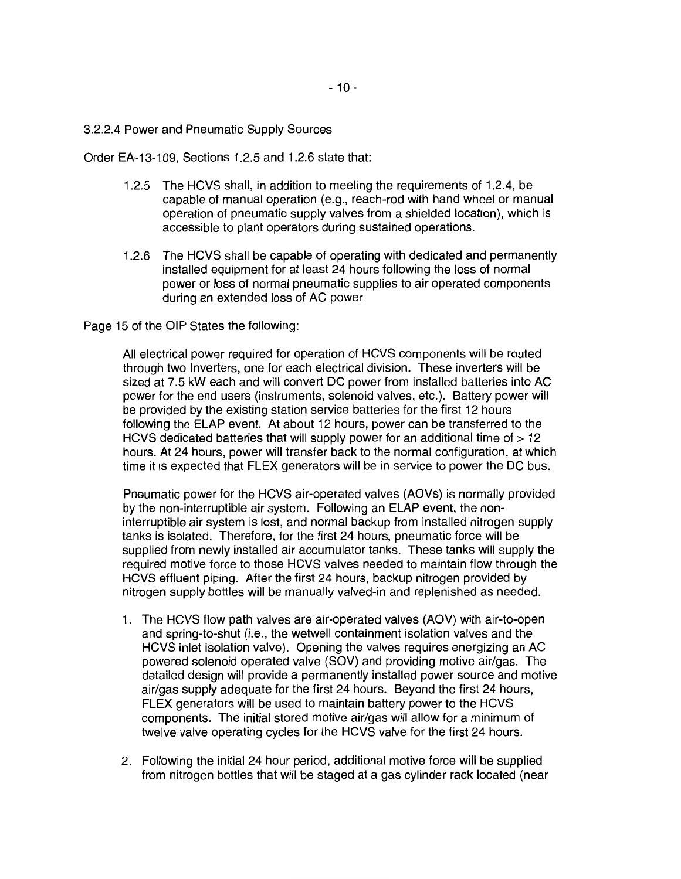3.2.2.4 Power and Pneumatic Supply Sources

Order EA-13-109, Sections 1.2.5 and 1.2.6 state that:

- 1.2.5 The HCVS shall, in addition to meeting the requirements of 1.2.4, be capable of manual operation (e.g., reach-rod with hand wheel or manual operation of pneumatic supply valves from a shielded location), which is accessible to plant operators during sustained operations.
- 1.2.6 The HCVS shall be capable of operating with dedicated and permanently installed equipment for at least 24 hours following the loss of normal power or loss of normal pneumatic supplies to air operated components during an extended loss of AC power.

Page 15 of the OIP States the following:

All electrical power required for operation of HCVS components will be routed through two Inverters, one for each electrical division. These inverters will be sized at 7.5 kW each and will convert DC power from installed batteries into AC power for the end users (instruments, solenoid valves, etc.). Battery power will be provided by the existing station service batteries for the first 12 hours following the ELAP event. At about 12 hours, power can be transferred to the HCVS dedicated batteries that will supply power for an additional time of > 12 hours. At 24 hours, power will transfer back to the normal configuration, at which time it is expected that FLEX generators will be in service to power the DC bus.

Pneumatic power for the HCVS air-operated valves (AOVs) is normally provided by the non-interruptible air system. Following an ELAP event, the noninterruptible air system is lost, and normal backup from installed nitrogen supply tanks is isolated. Therefore, for the first 24 hours, pneumatic force will be supplied from newly installed air accumulator tanks. These tanks will supply the required motive force to those HCVS valves needed to maintain flow through the HCVS effluent piping. After the first 24 hours, backup nitrogen provided by nitrogen supply bottles will be manually valved-in and replenished as needed.

- 1. The HCVS flow path valves are air-operated valves (AOV) with air-to-open and spring-to-shut (i.e., the wetwell containment isolation valves and the HCVS inlet isolation valve). Opening the valves requires energizing an AC powered solenoid operated valve (SOV) and providing motive air/gas. The detailed design will provide a permanently installed power source and motive air/gas supply adequate for the first 24 hours. Beyond the first 24 hours, FLEX generators will be used to maintain battery power to the HCVS components. The initial stored motive air/gas will allow for a minimum of twelve valve operating cycles for the HCVS valve for the first 24 hours.
- 2. Following the initial 24 hour period, additional motive force will be supplied from nitrogen bottles that will be staged at a gas cylinder rack located (near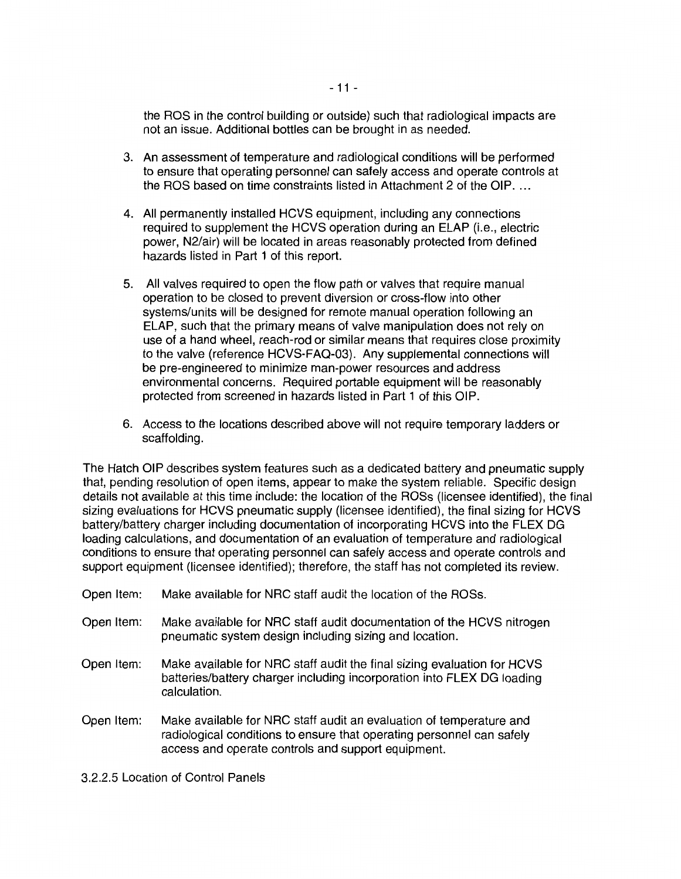the ROS in the control building or outside) such that radiological impacts are not an issue. Additional bottles can be brought in as needed.

- 3. An assessment of temperature and radiological conditions will be performed to ensure that operating personnel can safely access and operate controls at the ROS based on time constraints listed in Attachment 2 of the OIP...
- 4. All permanently installed HCVS equipment, including any connections required to supplement the HCVS operation during an ELAP (i.e., electric power, N2/air) will be located in areas reasonably protected from defined hazards listed in Part 1 of this report.
- 5. All valves required to open the flow path or valves that require manual operation to be closed to prevent diversion or cross-flow into other systems/units will be designed for remote manual operation following an ELAP, such that the primary means of valve manipulation does not rely on use of a hand wheel, reach-rod or similar means that requires close proximity to the valve (reference HCVS-FAQ-03). Any supplemental connections will be pre-engineered to minimize man-power resources and address environmental concerns. Required portable equipment will be reasonably protected from screened in hazards listed in Part 1 of this OIP.
- 6. Access to the locations described above will not require temporary ladders or scaffolding.

The Hatch OIP describes system features such as a dedicated battery and pneumatic supply that, pending resolution of open items, appear to make the system reliable. Specific design details not available at this time include: the location of the ROSs (licensee identified), the final sizing evaluations for HCVS pneumatic supply (licensee identified), the final sizing for HCVS battery/battery charger including documentation of incorporating HCVS into the FLEX DG loading calculations, and documentation of an evaluation of temperature and radiological conditions to ensure that operating personnel can safely access and operate controls and support equipment (licensee identified); therefore, the staff has not completed its review.

- Open Item: Make available for NRG staff audit the location of the ROSs.
- Open Item: Make available for NRG staff audit documentation of the HCVS nitrogen pneumatic system design including sizing and location.
- Open Item: Make available for NRG staff audit the final sizing evaluation for HCVS batteries/battery charger including incorporation into FLEX DG loading calculation.
- Open Item: Make available for NRG staff audit an evaluation of temperature and radiological conditions to ensure that operating personnel can safely access and operate controls and support equipment.

3.2.2.5 Location of Control Panels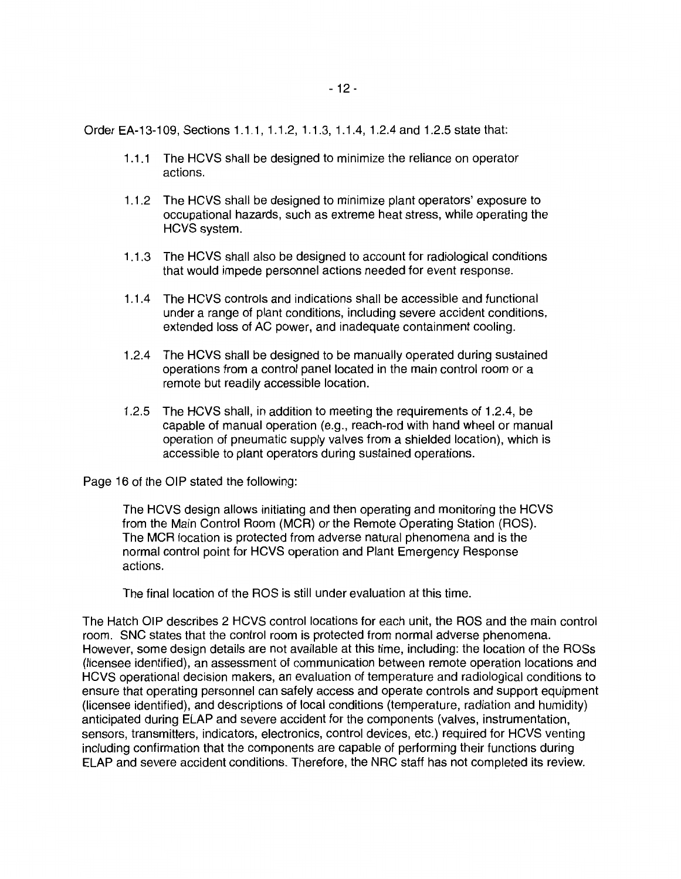Order EA-13-109, Sections 1.1.1, 1.1.2, 1.1.3, 1.1.4, 1.2.4 and 1.2.5 state that:

- 1.1.1 The HCVS shall be designed to minimize the reliance on operator actions.
- 1.1.2 The HCVS shall be designed to minimize plant operators' exposure to occupational hazards, such as extreme heat stress, while operating the HCVS system.
- 1 .1 .3 The HCVS shall also be designed to account for radiological conditions that would impede personnel actions needed for event response.
- 1.1.4 The HCVS controls and indications shall be accessible and functional under a range of plant conditions, including severe accident conditions, extended loss of AC power, and inadequate containment cooling.
- 1.2.4 The HCVS shall be designed to be manually operated during sustained operations from a control panel located in the main control room or a remote but readily accessible location.
- 1.2.5 The HCVS shall, in addition to meeting the requirements of 1.2.4, be capable of manual operation (e.g., reach-rod with hand wheel or manual operation of pneumatic supply valves from a shielded location), which is accessible to plant operators during sustained operations.

Page 16 of the OIP stated the following:

The HCVS design allows initiating and then operating and monitoring the HCVS from the Main Control Room (MGR) or the Remote Operating Station (ROS). The MGR location is protected from adverse natural phenomena and is the normal control point for HCVS operation and Plant Emergency Response actions.

The final location of the ROS is still under evaluation at this time.

The Hatch OIP describes 2 HCVS control locations for each unit, the ROS and the main control room. SNC states that the control room is protected from normal adverse phenomena. However, some design details are not available at this time, including: the location of the ROSs (licensee identified), an assessment of communication between remote operation locations and HCVS operational decision makers, an evaluation of temperature and radiological conditions to ensure that operating personnel can safely access and operate controls and support equipment (licensee identified), and descriptions of local conditions (temperature, radiation and humidity) anticipated during ELAP and severe accident for the components (valves, instrumentation, sensors, transmitters, indicators, electronics, control devices, etc.) required for HCVS venting including confirmation that the components are capable of performing their functions during ELAP and severe accident conditions. Therefore, the NRG staff has not completed its review.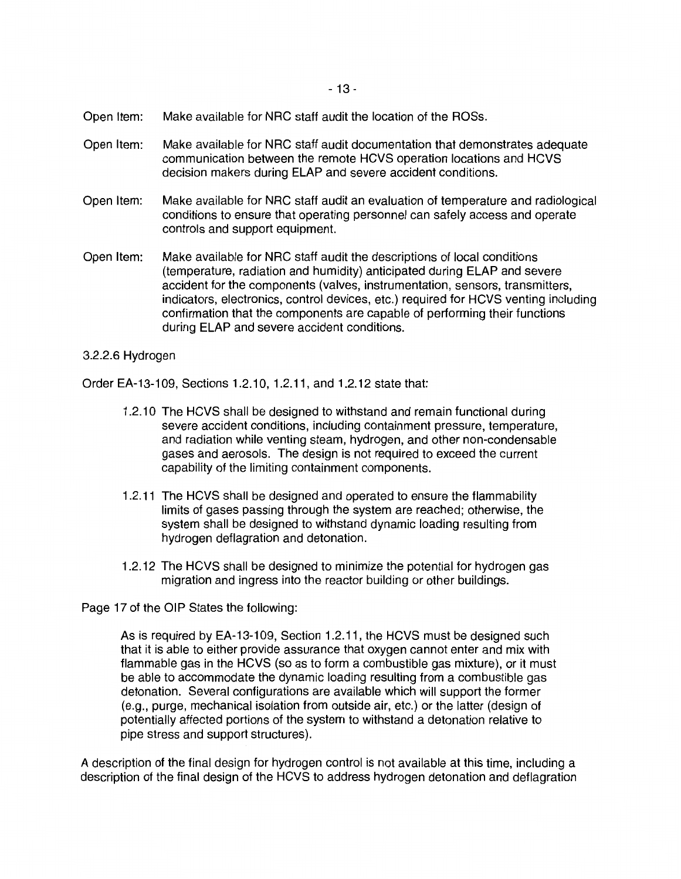- 13 -

- Open Item: Make available for NRC staff audit the location of the ROSs.
- Open Item: Make available for NRC staff audit documentation that demonstrates adequate communication between the remote HCVS operation locations and HCVS decision makers during ELAP and severe accident conditions.
- Open Item: Make available for NRC staff audit an evaluation of temperature and radiological conditions to ensure that operating personnel can safely access and operate controls and support equipment.
- Open Item: Make available for NRC staff audit the descriptions of local conditions (temperature, radiation and humidity) anticipated during ELAP and severe accident tor the components (valves, instrumentation, sensors, transmitters, indicators, electronics, control devices, etc.) required for HCVS venting including confirmation that the components are capable of performing their functions during ELAP and severe accident conditions.

#### 3.2.2.6 Hydrogen

Order EA-13-109, Sections 1.2.10, 1.2.11, and 1.2.12 state that:

- 1.2.1 O The HCVS shall be designed to withstand and remain functional during severe accident conditions, including containment pressure, temperature, and radiation while venting steam, hydrogen, and other non-condensable gases and aerosols. The design is not required to exceed the current capability of the limiting containment components.
- 1.2.11 The HCVS shall be designed and operated to ensure the flammability limits of gases passing through the system are reached; otherwise, the system shall be designed to withstand dynamic loading resulting from hydrogen deflagration and detonation.
- 1.2.12 The HCVS shall be designed to minimize the potential for hydrogen gas migration and ingress into the reactor building or other buildings.

Page 17 of the OIP States the following:

As is required by EA-13-109, Section 1.2.11, the HCVS must be designed such that it is able to either provide assurance that oxygen cannot enter and mix with flammable gas in the HCVS (so as to form a combustible gas mixture), or it must be able to accommodate the dynamic loading resulting from a combustible gas detonation. Several configurations are available which will support the former (e.g., purge, mechanical isolation from outside air, etc.) or the latter (design of potentially affected portions of the system to withstand a detonation relative to pipe stress and support structures).

A description of the final design for hydrogen control is not available at this time, including a description of the final design of the HCVS to address hydrogen detonation and deflagration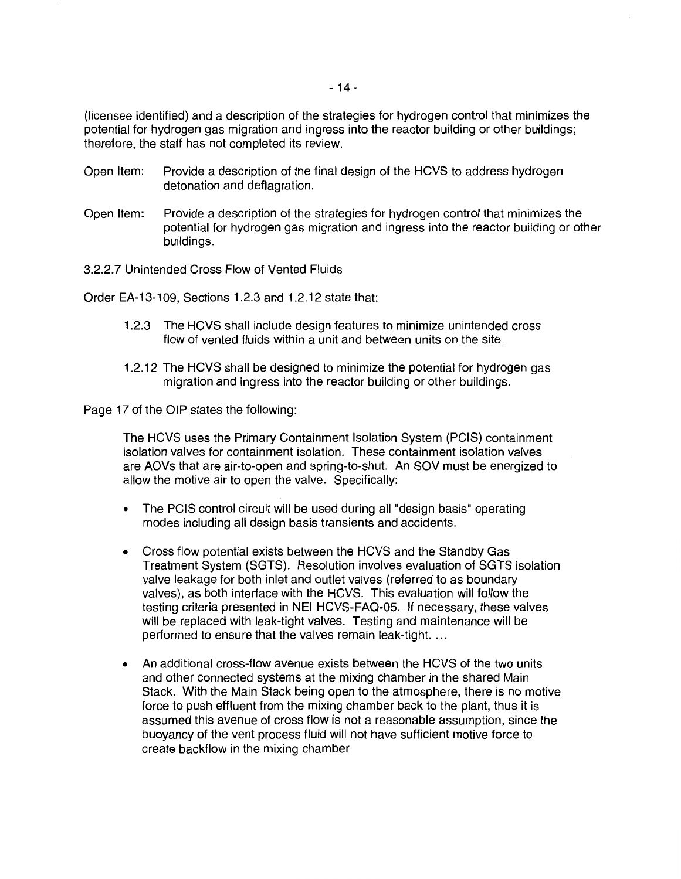(licensee identified) and a description of the strategies for hydrogen control that minimizes the potential for hydrogen gas migration and ingress into the reactor building or other buildings; therefore, the staff has not completed its review.

- Open Item: Provide a description of the final design of the HCVS to address hydrogen detonation and deflagration.
- Open Item: Provide a description of the strategies for hydrogen control that minimizes the potential for hydrogen gas migration and ingress into the reactor building or other buildings.

3.2.2. 7 Unintended Cross Flow of Vented Fluids

Order EA-13-109, Sections 1.2.3 and 1.2.12 state that:

- 1.2.3 The HCVS shall include design features to minimize unintended cross flow of vented fluids within a unit and between units on the site.
- 1.2.12 The HCVS shall be designed to minimize the potential for hydrogen gas migration and ingress into the reactor building or other buildings.

Page 17 of the OIP states the following:

The HCVS uses the Primary Containment Isolation System (PCIS) containment isolation valves for containment isolation. These containment isolation valves are AOVs that are air-to-open and spring-to-shut. An SOV must be energized to allow the motive air to open the valve. Specifically:

- The PCIS control circuit will be used during all "design basis" operating modes including all design basis transients and accidents.
- Cross flow potential exists between the HCVS and the Standby Gas Treatment System (SGTS). Resolution involves evaluation of SGTS isolation valve leakage for both inlet and outlet valves (referred to as boundary valves), as both interface with the HCVS. This evaluation will follow the testing criteria presented in NEI HCVS-FAQ-05. If necessary, these valves will be replaced with leak-tight valves. Testing and maintenance will be performed to ensure that the valves remain leak-tight. ...
- An additional cross-flow avenue exists between the HCVS of the two units and other connected systems at the mixing chamber in the shared Main Stack. With the Main Stack being open to the atmosphere, there is no motive force to push effluent from the mixing chamber back to the plant, thus it is assumed this avenue of cross flow is not a reasonable assumption, since the buoyancy of the vent process fluid will not have sufficient motive force to create backflow in the mixing chamber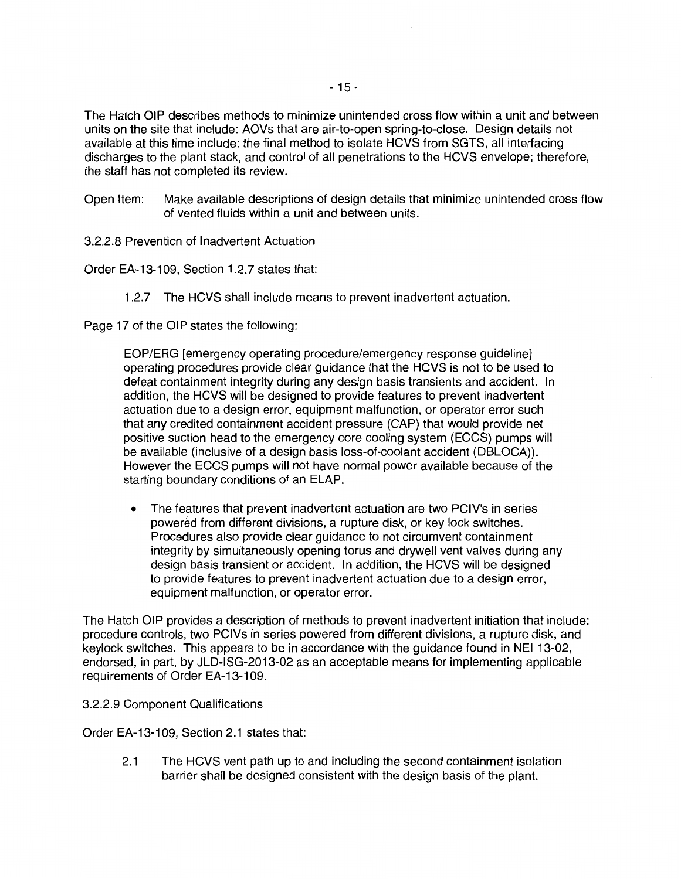The Hatch OIP describes methods to minimize unintended cross flow within a unit and between units on the site that include: AOVs that are air-to-open spring-to-close. Design details not available at this time include: the final method to isolate HCVS from SGTS, all interfacing discharges to the plant stack, and control of all penetrations to the HCVS envelope; therefore, the staff has not completed its review.

- Open Item: Make available descriptions of design details that minimize unintended cross flow of vented fluids within a unit and between units.
- 3.2.2.8 Prevention of Inadvertent Actuation

Order EA-13-109, Section 1.2.7 states that:

1.2.7 The HCVS shall include means to prevent inadvertent actuation.

Page 17 of the OIP states the following:

EOP/ERG [emergency operating procedure/emergency response guideline] operating procedures provide clear guidance that the HCVS is not to be used to defeat containment integrity during any design basis transients and accident. In addition, the HCVS will be designed to provide features to prevent inadvertent actuation due to a design error, equipment malfunction, or operator error such that any credited containment accident pressure (CAP) that would provide net positive suction head to the emergency core cooling system (ECCS) pumps will be available (inclusive of a design basis loss-of-coolant accident (DBLOCA)). However the ECCS pumps will not have normal power available because of the starting boundary conditions of an ELAP.

• The features that prevent inadvertent actuation are two PCIV's in series powered from different divisions, a rupture disk, or key lock switches. Procedures also provide clear guidance to not circumvent containment integrity by simultaneously opening torus and drywell vent valves during any design basis transient or accident. In addition, the HCVS will be designed to provide features to prevent inadvertent actuation due to a design error, equipment malfunction, or operator error.

The Hatch OIP provides a description of methods to prevent inadvertent initiation that include: procedure controls, two PCIVs in series powered from different divisions, a rupture disk, and keylock switches. This appears to be in accordance with the guidance found in NEI 13-02, endorsed, in part, by JLD-ISG-2013-02 as an acceptable means for implementing applicable requirements of Order EA-13-109.

3.2.2.9 Component Qualifications

Order EA-13-109, Section 2.1 states that:

2.1 The HCVS vent path up to and including the second containment isolation barrier shall be designed consistent with the design basis of the plant.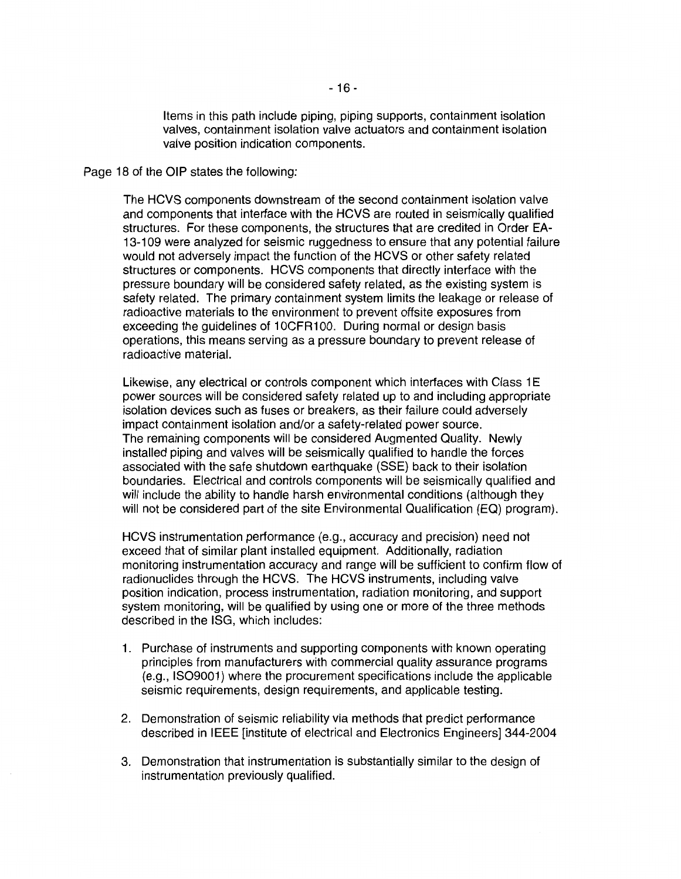Items in this path include piping, piping supports, containment isolation valves, containment isolation valve actuators and containment isolation valve position indication components.

Page 18 of the OIP states the following:

The HCVS components downstream of the second containment isolation valve and components that interface with the HCVS are routed in seismically qualified structures. For these components, the structures that are credited in Order EA-13-109 were analyzed for seismic ruggedness to ensure that any potential failure would not adversely impact the function of the HCVS or other safety related structures or components. HCVS components that directly interface with the pressure boundary will be considered safety related, as the existing system is safety related. The primary containment system limits the leakage or release of radioactive materials to the environment to prevent offsite exposures from exceeding the guidelines of 1OCFR100. During normal or design basis operations, this means serving as a pressure boundary to prevent release of radioactive material.

Likewise, any electrical or controls component which interfaces with Class 1E power sources will be considered safety related up to and including appropriate isolation devices such as fuses or breakers, as their failure could adversely impact containment isolation and/or a safety-related power source. The remaining components will be considered Augmented Quality. Newly installed piping and valves will be seismically qualified to handle the forces associated with the safe shutdown earthquake (SSE) back to their isolation boundaries. Electrical and controls components will be seismically qualified and will include the ability to handle harsh environmental conditions (although they will not be considered part of the site Environmental Qualification (EQ) program).

HCVS instrumentation performance (e.g., accuracy and precision) need not exceed that of similar plant installed equipment. Additionally, radiation monitoring instrumentation accuracy and range will be sufficient to confirm flow of radionuclides through the HCVS. The HCVS instruments, including valve position indication, process instrumentation, radiation monitoring, and support system monitoring, will be qualified by using one or more of the three methods described in the ISG, which includes:

- 1. Purchase of instruments and supporting components with known operating principles from manufacturers with commercial quality assurance programs (e.g., IS09001) where the procurement specifications include the applicable seismic requirements, design requirements, and applicable testing.
- 2. Demonstration of seismic reliability via methods that predict performance described in IEEE [institute of electrical and Electronics Engineers] 344-2004
- 3. Demonstration that instrumentation is substantially similar to the design of instrumentation previously qualified.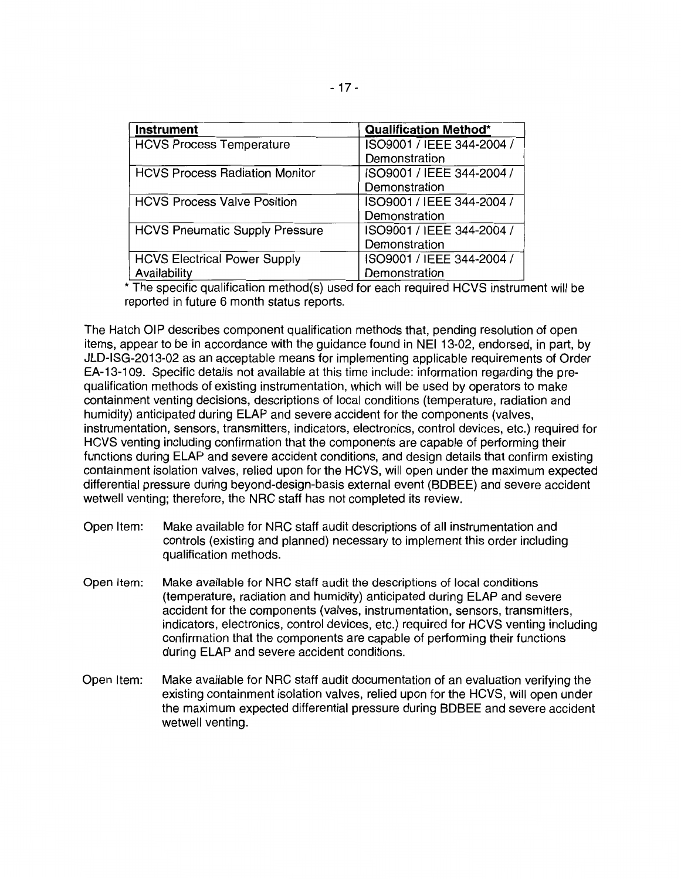| <b>Instrument</b>                     | <b>Qualification Method*</b> |
|---------------------------------------|------------------------------|
| <b>HCVS Process Temperature</b>       | ISO9001 / IEEE 344-2004 /    |
|                                       | Demonstration                |
| <b>HCVS Process Radiation Monitor</b> | ISO9001 / IEEE 344-2004 /    |
|                                       | Demonstration                |
| <b>HCVS Process Valve Position</b>    | ISO9001 / IEEE 344-2004 /    |
|                                       | Demonstration                |
| <b>HCVS Pneumatic Supply Pressure</b> | ISO9001 / IEEE 344-2004 /    |
|                                       | Demonstration                |
| <b>HCVS Electrical Power Supply</b>   | ISO9001 / IEEE 344-2004 /    |
| Availability                          | Demonstration                |

\*The specific qualification method(s) used for each required HCVS instrument will be reported in future 6 month status reports.

The Hatch OIP describes component qualification methods that, pending resolution of open items, appear to be in accordance with the guidance found in NEI 13-02, endorsed, in part, by JLD-ISG-2013-02 as an acceptable means for implementing applicable requirements of Order EA-13-109. Specific details not available at this time include: information regarding the prequalification methods of existing instrumentation, which will be used by operators to make containment venting decisions, descriptions of local conditions (temperature, radiation and humidity) anticipated during ELAP and severe accident for the components (valves, instrumentation, sensors, transmitters, indicators, electronics, control devices, etc.) required for HCVS venting including confirmation that the components are capable of performing their functions during ELAP and severe accident conditions, and design details that confirm existing containment isolation valves, relied upon for the HCVS, will open under the maximum expected differential pressure during beyond-design-basis external event (BDBEE) and severe accident wetwell venting; therefore, the NRC staff has not completed its review.

- Open Item: Make available for NRC staff audit descriptions of all instrumentation and controls (existing and planned) necessary to implement this order including qualification methods.
- Open Item: Make available for NRC staff audit the descriptions of local conditions (temperature, radiation and humidity) anticipated during ELAP and severe accident for the components (valves, instrumentation, sensors, transmitters, indicators, electronics, control devices, etc.) required for HCVS venting including confirmation that the components are capable of performing their functions during ELAP and severe accident conditions.
- Open Item: Make available for NRC staff audit documentation of an evaluation verifying the existing containment isolation valves, relied upon for the HCVS, will open under the maximum expected differential pressure during BDBEE and severe accident wetwell venting.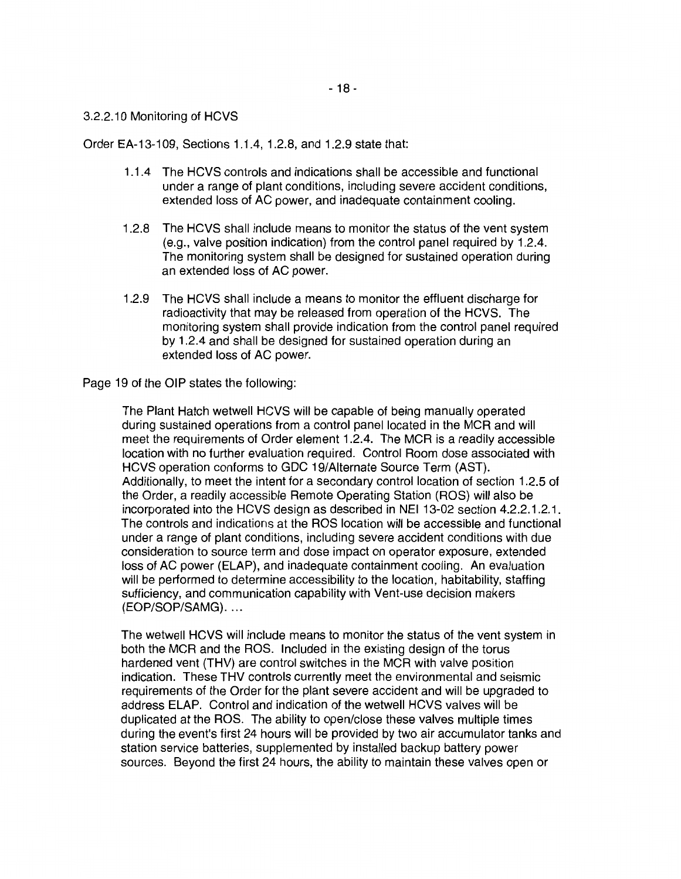#### 3.2.2.10 Monitoring of HCVS

Order EA-13-109, Sections 1.1.4, 1.2.8, and 1.2.9 state that:

- 1.1.4 The HCVS controls and indications shall be accessible and functional under a range of plant conditions, including severe accident conditions, extended loss of AC power, and inadequate containment cooling.
- 1.2.8 The HCVS shall include means to monitor the status of the vent system (e.g., valve position indication) from the control panel required by 1.2.4. The monitoring system shall be designed for sustained operation during an extended loss of AC power.
- 1.2.9 The HCVS shall include a means to monitor the effluent discharge for radioactivity that may be released from operation of the HCVS. The monitoring system shall provide indication from the control panel required by 1.2.4 and shall be designed for sustained operation during an extended loss of AC power.

Page 19 of the OIP states the following:

The Plant Hatch wetwell HCVS will be capable of being manually operated during sustained operations from a control panel located in the MCR and will meet the requirements of Order element 1.2.4. The MCR is a readily accessible location with no further evaluation required. Control Room dose associated with HCVS operation conforms to GDC 19/Alternate Source Term (AST). Additionally, to meet the intent for a secondary control location of section 1.2.5 of the Order, a readily accessible Remote Operating Station (ROS) will also be incorporated into the HCVS design as described in NEI 13-02 section 4.2.2.1.2.1. The controls and indications at the ROS location will be accessible and functional under a range of plant conditions, including severe accident conditions with due consideration to source term and dose impact on operator exposure, extended loss of AC power (ELAP), and inadequate containment cooling. An evaluation will be performed to determine accessibility to the location, habitability, staffing sufficiency, and communication capability with Vent-use decision makers (EOP/SOP/SAMG) ....

The wetwell HCVS will include means to monitor the status of the vent system in both the MCR and the ROS. Included in the existing design of the torus hardened vent (THV) are control switches in the MCR with valve position indication. These THV controls currently meet the environmental and seismic requirements of the Order for the plant severe accident and will be upgraded to address ELAP. Control and indication of the wetwell HCVS valves will be duplicated at the ROS. The ability to open/close these valves multiple times during the event's first 24 hours will be provided by two air accumulator tanks and station service batteries, supplemented by installed backup battery power sources. Beyond the first 24 hours, the ability to maintain these valves open or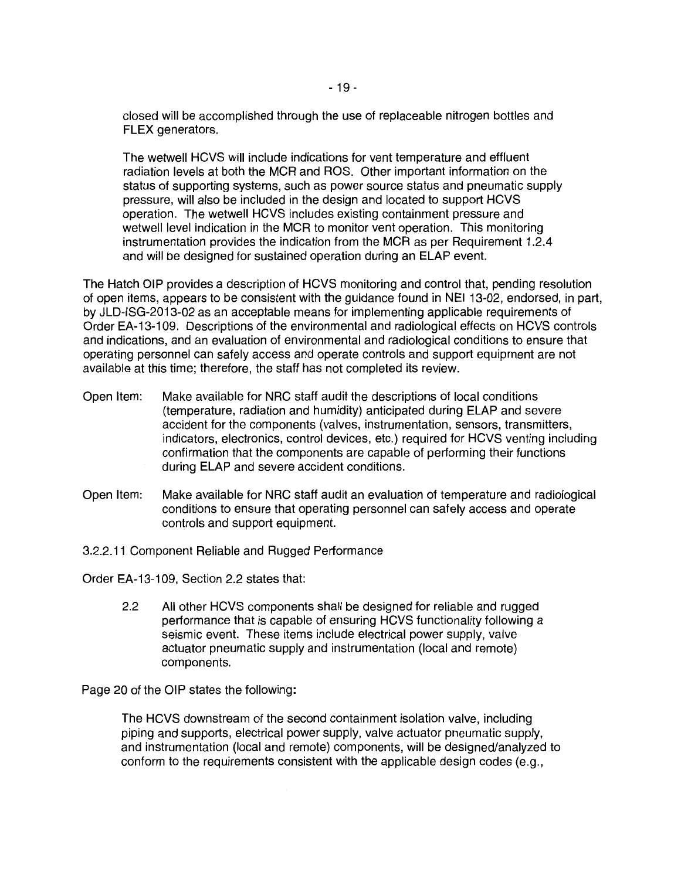closed will be accomplished through the use of replaceable nitrogen bottles and FLEX generators.

The wetwell HCVS will include indications for vent temperature and effluent radiation levels at both the MCR and ROS. Other important information on the status of supporting systems, such as power source status and pneumatic supply pressure, will also be included in the design and located to support HCVS operation. The wetwell HCVS includes existing containment pressure and wetwell level indication in the MCR to monitor vent operation. This monitoring instrumentation provides the indication from the MCR as per Requirement 1.2.4 and will be designed for sustained operation during an ELAP event.

The Hatch OIP provides a description of HCVS monitoring and control that, pending resolution of open items, appears to be consistent with the guidance found in NEI 13-02, endorsed, in part, by JLD-ISG-2013-02 as an acceptable means for implementing applicable requirements of Order EA-13-109. Descriptions of the environmental and radiological effects on HCVS controls and indications, and an evaluation of environmental and radiological conditions to ensure that operating personnel can safely access and operate controls and support equipment are not available at this time; therefore, the staff has not completed its review.

- Open Item: Make available for NRC staff audit the descriptions of local conditions (temperature, radiation and humidity) anticipated during ELAP and severe accident for the components (valves, instrumentation, sensors, transmitters, indicators, electronics, control devices, etc.) required for HCVS venting including confirmation that the components are capable of performing their functions during ELAP and severe accident conditions.
- Open Item: Make available for NRC staff audit an evaluation of temperature and radiological conditions to ensure that operating personnel can safely access and operate controls and support equipment.
- 3.2.2.11 Component Reliable and Rugged Performance

Order EA-13-109, Section 2.2 states that:

2.2 All other HCVS components shall be designed for reliable and rugged performance that is capable of ensuring HCVS functionality following a seismic event. These items include electrical power supply, valve actuator pneumatic supply and instrumentation (local and remote) components.

Page 20 of the OIP states the following:

The HCVS downstream of the second containment isolation valve, including piping and supports, electrical power supply, valve actuator pneumatic supply, and instrumentation (local and remote) components, will be designed/analyzed to conform to the requirements consistent with the applicable design codes (e.g.,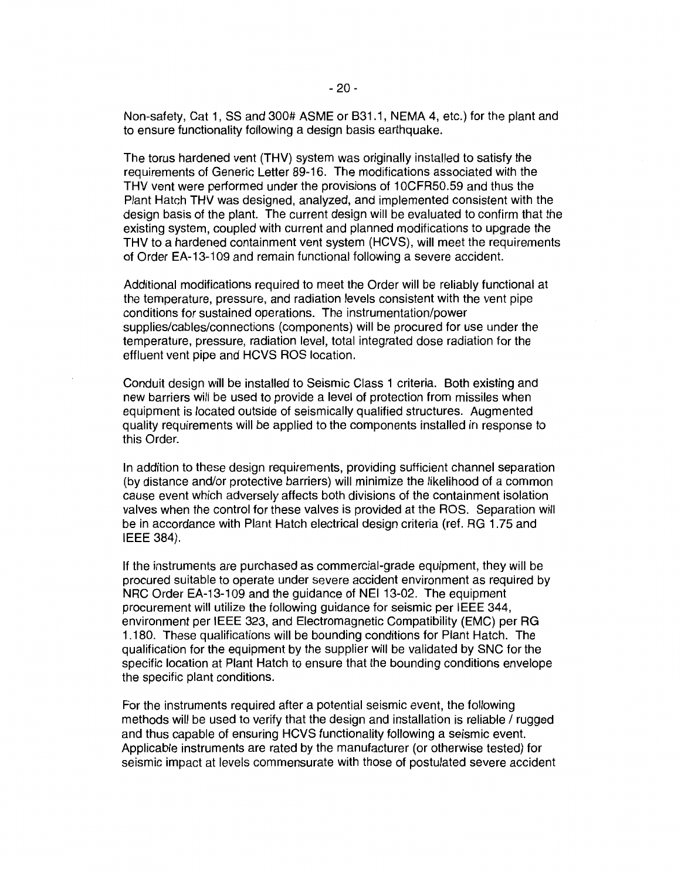Non-safety, Cat 1, SS and 300# ASME or 831.1, NEMA 4, etc.) for the plant and to ensure functionality following a design basis earthquake.

The torus hardened vent (THV) system was originally installed to satisfy the requirements of Generic Letter 89-16. The modifications associated with the THV vent were performed under the provisions of 1 OCFR50.59 and thus the Plant Hatch THV was designed, analyzed, and implemented consistent with the design basis of the plant. The current design will be evaluated to confirm that the existing system, coupled with current and planned modifications to upgrade the THV to a hardened containment vent system (HCVS), will meet the requirements of Order EA-13-109 and remain functional following a severe accident.

Additional modifications required to meet the Order will be reliably functional at the temperature, pressure, and radiation levels consistent with the vent pipe conditions for sustained operations. The instrumentation/power supplies/cables/connections (components) will be procured for use under the temperature, pressure, radiation level, total integrated dose radiation for the effluent vent pipe and HCVS ROS location.

Conduit design will be installed to Seismic Class 1 criteria. Both existing and new barriers will be used to provide a level of protection from missiles when equipment is located outside of seismically qualified structures. Augmented quality requirements will be applied to the components installed in response to this Order.

In addition to these design requirements, providing sufficient channel separation (by distance and/or protective barriers) will minimize the likelihood of a common cause event which adversely affects both divisions of the containment isolation valves when the control for these valves is provided at the ROS. Separation will be in accordance with Plant Hatch electrical design criteria (ref. RG 1.75 and IEEE 384).

If the instruments are purchased as commercial-grade equipment, they will be procured suitable to operate under severe accident environment as required by NRC Order EA-13-109 and the guidance of NEI 13-02. The equipment procurement will utilize the following guidance for seismic per IEEE 344, environment per IEEE 323, and Electromagnetic Compatibility (EMC) per RG 1.180. These qualifications will be bounding conditions for Plant Hatch. The qualification for the equipment by the supplier will be validated by SNC for the specific location at Plant Hatch to ensure that the bounding conditions envelope the specific plant conditions.

For the instruments required after a potential seismic event, the following methods will be used to verify that the design and installation is reliable / rugged and thus capable of ensuring HCVS functionality following a seismic event. Applicable instruments are rated by the manufacturer (or otherwise tested) for seismic impact at levels commensurate with those of postulated severe accident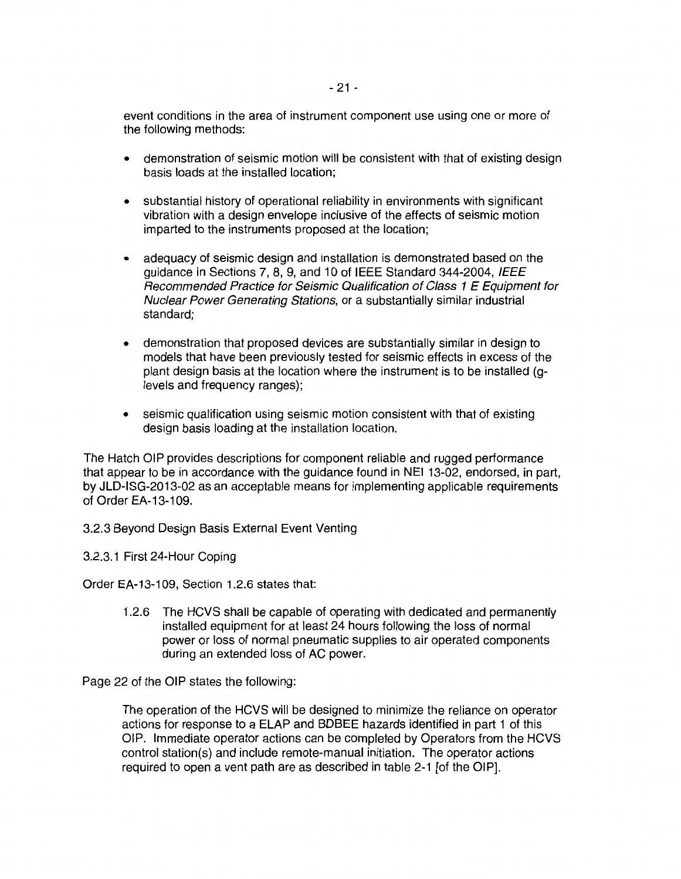event conditions in the area of instrument component use using one or more of the following methods:

- demonstration of seismic motion will be consistent with that of existing design basis loads at the installed location;
- substantial history of operational reliability in environments with significant vibration with a design envelope inclusive of the effects of seismic motion imparted to the instruments proposed at the location;
- adequacy of seismic design and installation is demonstrated based on the guidance in Sections 7, 8, 9, and 10 of IEEE Standard 344-2004, IEEE Recommended Practice for Seismic Qualification of Class 1 E Equipment for Nuclear Power Generating Stations, or a substantially similar industrial standard;
- demonstration that proposed devices are substantially similar in design to models that have been previously tested for seismic effects in excess of the plant design basis at the location where the instrument is to be installed (glevels and frequency ranges);
- seismic qualification using seismic motion consistent with that of existing design basis loading at the installation location.

The Hatch OIP provides descriptions for component reliable and rugged performance that appear to be in accordance with the guidance found in NEI 13-02, endorsed, in part, by JLD-ISG-2013-02 as an acceptable means for implementing applicable requirements of Order EA-13-109.

3.2.3 Beyond Design Basis External Event Venting

3.2.3.1 First 24-Hour Coping

Order EA-13-109, Section 1.2.6 states that:

1.2.6 The HCVS shall be capable of operating with dedicated and permanently installed equipment for at least 24 hours following the loss of normal power or loss of normal pneumatic supplies to air operated components during an extended loss of AC power.

Page 22 of the OIP states the following:

The operation of the HCVS will be designed to minimize the reliance on operator actions for response to a ELAP and BDBEE hazards identified in part 1 of this OIP. Immediate operator actions can be completed by Operators from the HCVS control station(s) and include remote-manual initiation. The operator actions required to open a vent path are as described in table 2-1 [of the OIP].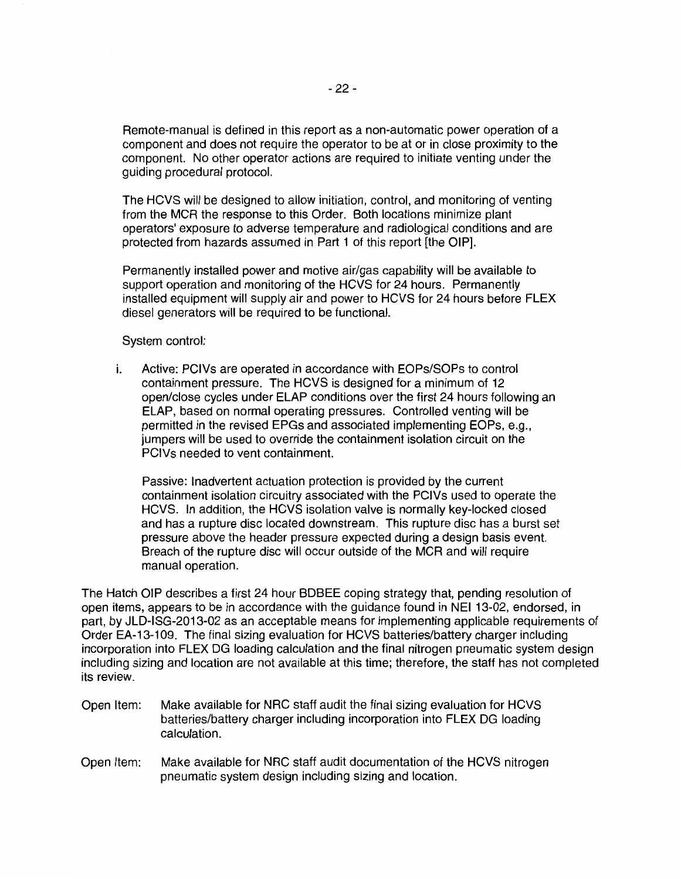Remote-manual is defined in this report as a non-automatic power operation of a component and does not require the operator to be at or in close proximity to the component. No other operator actions are required to initiate venting under the guiding procedural protocol.

The HCVS will be designed to allow initiation, control, and monitoring of venting from the MCR the response to this Order. Both locations minimize plant operators' exposure to adverse temperature and radiological conditions and are protected from hazards assumed in Part 1 of this report [the OIP].

Permanently installed power and motive air/gas capability will be available to support operation and monitoring of the HCVS for 24 hours. Permanently installed equipment will supply air and power to HCVS for 24 hours before FLEX diesel generators will be required to be functional.

System control:

i. Active: PCIVs are operated in accordance with EOPs/SOPs to control containment pressure. The HCVS is designed for a minimum of 12 open/close cycles under ELAP conditions over the first 24 hours following an ELAP, based on normal operating pressures. Controlled venting will be permitted in the revised EPGs and associated implementing EOPs, e.g., jumpers will be used to override the containment isolation circuit on the PCIVs needed to vent containment.

Passive: Inadvertent actuation protection is provided by the current containment isolation circuitry associated with the PCIVs used to operate the HCVS. In addition, the HCVS isolation valve is normally key-locked closed and has a rupture disc located downstream. This rupture disc has a burst set pressure above the header pressure expected during a design basis event. Breach of the rupture disc will occur outside of the MCR and will require manual operation.

The Hatch OIP describes a first 24 hour BDBEE coping strategy that, pending resolution of open items, appears to be in accordance with the guidance found in NEI 13-02, endorsed, in part, by JLD-ISG-2013-02 as an acceptable means for implementing applicable requirements of Order EA-13-109. The final sizing evaluation for HCVS batteries/battery charger including incorporation into FLEX DG loading calculation and the final nitrogen pneumatic system design including sizing and location are not available at this time; therefore, the staff has not completed its review.

- Open Item: Make available for NRC staff audit the final sizing evaluation for HCVS batteries/battery charger including incorporation into FLEX DG loading calculation.
- Open Item: Make available for NRC staff audit documentation of the HCVS nitrogen pneumatic system design including sizing and location.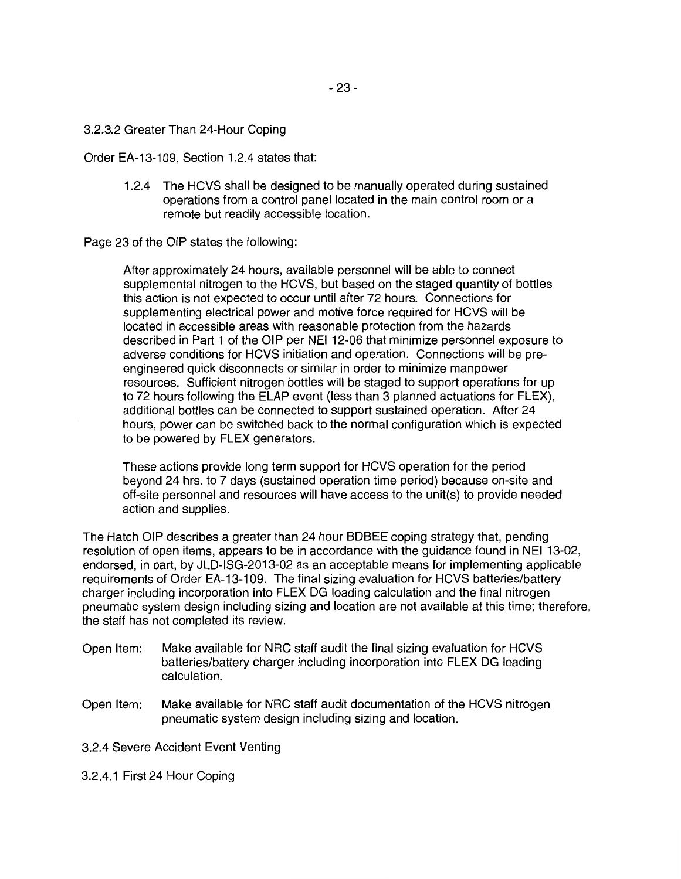#### 3.2.3.2 Greater Than 24-Hour Coping

Order EA-13-109, Section 1.2.4 states that:

1.2.4 The HCVS shall be designed to be manually operated during sustained operations from a control panel located in the main control room or a remote but readily accessible location.

Page 23 of the OIP states the following:

After approximately 24 hours, available personnel will be able to connect supplemental nitrogen to the HCVS, but based on the staged quantity of bottles this action is not expected to occur until after 72 hours. Connections for supplementing electrical power and motive force required for HCVS will be located in accessible areas with reasonable protection from the hazards described in Part 1 of the OIP per NEI 12-06 that minimize personnel exposure to adverse conditions for HCVS initiation and operation. Connections will be preengineered quick disconnects or similar in order to minimize manpower resources. Sufficient nitrogen bottles will be staged to support operations for up to 72 hours following the ELAP event {less than 3 planned actuations for FLEX), additional bottles can be connected to support sustained operation. After 24 hours, power can be switched back to the normal configuration which is expected to be powered by FLEX generators.

These actions provide long term support for HCVS operation for the period beyond 24 hrs. to 7 days (sustained operation time period) because on-site and off-site personnel and resources will have access to the unit(s) to provide needed action and supplies.

The Hatch OIP describes a greater than 24 hour BDBEE coping strategy that, pending resolution of open items, appears to be in accordance with the guidance found in NEI 13-02, endorsed, in part, by JLD-ISG-2013-02 as an acceptable means for implementing applicable requirements of Order EA-13-109. The final sizing evaluation for HCVS batteries/battery charger including incorporation into FLEX DG loading calculation and the final nitrogen pneumatic system design including sizing and location are not available at this time; therefore, the staff has not completed its review.

- Open Item: Make available for NRC staff audit the final sizing evaluation for HCVS batteries/battery charger including incorporation into FLEX DG loading calculation.
- Open Item: Make available for NRC staff audit documentation of the HCVS nitrogen pneumatic system design including sizing and location.

3.2.4 Severe Accident Event Venting

3.2.4.1 First 24 Hour Coping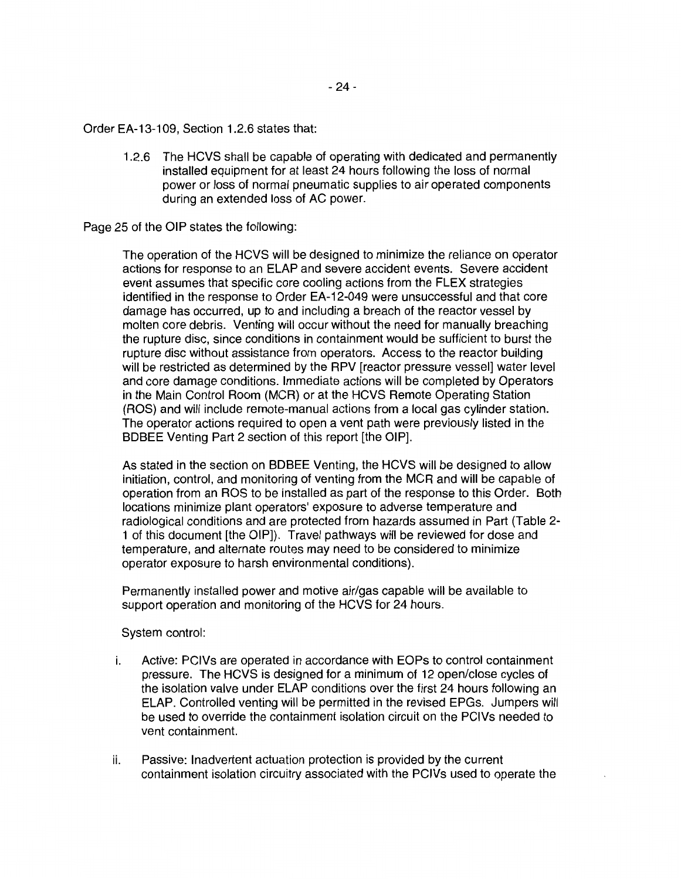Order EA-13-109, Section 1.2.6 states that:

1.2.6 The HCVS shall be capable of operating with dedicated and permanently installed equipment for at least 24 hours following the loss of normal power or loss of normal pneumatic supplies to air operated components during an extended loss of AC power.

Page 25 of the OIP states the following:

The operation of the HCVS will be designed to minimize the reliance on operator actions for response to an ELAP and severe accident events. Severe accident event assumes that specific core cooling actions from the FLEX strategies identified in the response to Order EA-12-049 were unsuccessful and that core damage has occurred, up to and including a breach of the reactor vessel by molten core debris. Venting will occur without the need for manually breaching the rupture disc, since conditions in containment would be sufficient to burst the rupture disc without assistance from operators. Access to the reactor building will be restricted as determined by the RPV [reactor pressure vessel] water level and core damage conditions. Immediate actions will be completed by Operators in the Main Control Room (MCA) or at the HCVS Remote Operating Station (ROS) and will include remote-manual actions from a local gas cylinder station. The operator actions required to open a vent path were previously listed in the BDBEE Venting Part 2 section of this report [the OIP].

As stated in the section on BDBEE Venting, the HCVS will be designed to allow initiation, control, and monitoring of venting from the MCA and will be capable of operation from an ROS to be installed as part of the response to this Order. Both locations minimize plant operators' exposure to adverse temperature and radiological conditions and are protected from hazards assumed in Part (Table 2- 1 of this document [the OIP]). Travel pathways will be reviewed for dose and temperature, and alternate routes may need to be considered to minimize operator exposure to harsh environmental conditions).

Permanently installed power and motive air/gas capable will be available to support operation and monitoring of the HCVS for 24 hours.

System control:

- i. Active: PCIVs are operated in accordance with EOPs to control containment pressure. The HCVS is designed for a minimum of 12 open/close cycles of the isolation valve under ELAP conditions over the first 24 hours following an ELAP. Controlled venting will be permitted in the revised EPGs. Jumpers will be used to override the containment isolation circuit on the PCIVs needed to vent containment.
- ii. Passive: Inadvertent actuation protection is provided by the current containment isolation circuitry associated with the PCIVs used to operate the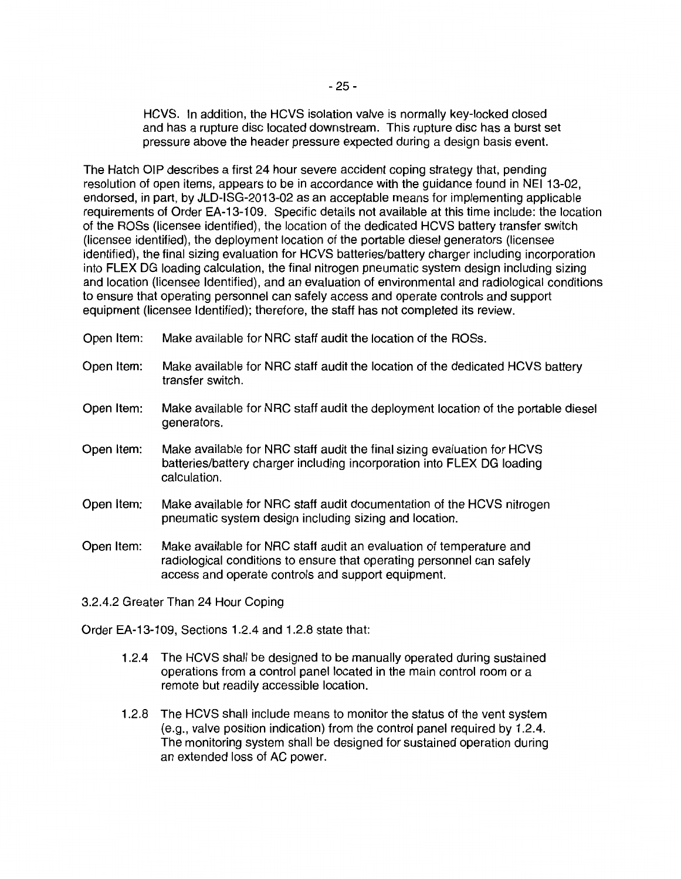HCVS. In addition, the HCVS isolation valve is normally key-locked closed and has a rupture disc located downstream. This rupture disc has a burst set pressure above the header pressure expected during a design basis event.

The Hatch OIP describes a first 24 hour severe accident coping strategy that, pending resolution of open items, appears to be in accordance with the guidance found in NEI 13-02, endorsed, in part, by JLD-ISG-2013-02 as an acceptable means for implementing applicable requirements of Order EA-13-109. Specific details not available at this time include: the location of the ROSs (licensee identified), the location of the dedicated HCVS battery transfer switch (licensee identified), the deployment location of the portable diesel generators {licensee identified), the final sizing evaluation for HCVS batteries/battery charger including incorporation into FLEX DG loading calculation, the final nitrogen pneumatic system design including sizing and location (licensee Identified), and an evaluation of environmental and radiological conditions to ensure that operating personnel can safely access and operate controls and support equipment (licensee Identified); therefore, the staff has not completed its review.

- Open Item: Make available for NRC staff audit the location of the ROSs.
- Open Item: Make available for NRC staff audit the location of the dedicated HCVS battery transfer switch.
- Open Item: Make available for NRC staff audit the deployment location of the portable diesel generators.
- Open Item: Make available for NRC staff audit the final sizing evaluation for HCVS batteries/battery charger including incorporation into FLEX DG loading calculation.
- Open Item: Make available for NRC staff audit documentation of the HCVS nitrogen pneumatic system design including sizing and location.
- Open Item: Make available for NRC staff audit an evaluation of temperature and radiological conditions to ensure that operating personnel can safely access and operate controls and support equipment.

3.2.4.2 Greater Than 24 Hour Coping

Order EA-13-109, Sections 1.2.4 and 1.2.8 state that:

- 1.2.4 The HCVS shall be designed to be manually operated during sustained operations from a control panel located in the main control room or a remote but readily accessible location.
- 1.2.8 The HCVS shall include means to monitor the status of the vent system (e.g., valve position indication) from the control panel required by 1.2.4. The monitoring system shall be designed for sustained operation during an extended loss of AC power.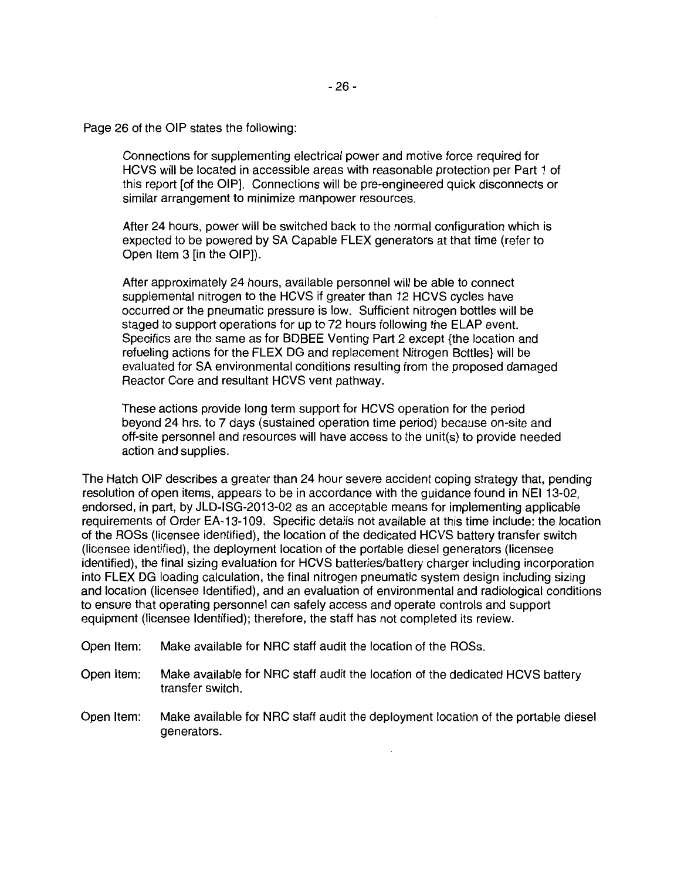Page 26 of the OIP states the following:

Connections for supplementing electrical power and motive force required for HCVS will be located in accessible areas with reasonable protection per Part 1 of this report [of the OIP]. Connections will be pre-engineered quick disconnects or similar arrangement to minimize manpower resources.

After 24 hours, power will be switched back to the normal configuration which is expected to be powered by SA Capable FLEX generators at that time (refer to Open Item 3 [in the OIP]).

After approximately 24 hours, available personnel will be able to connect supplemental nitrogen to the HCVS if greater than 12 HCVS cycles have occurred or the pneumatic pressure is low. Sufficient nitrogen bottles will be staged to support operations for up to 72 hours following the ELAP event. Specifics are the same as for BDBEE Venting Part 2 except {the location and refueling actions for the FLEX DG and replacement Nitrogen Bottles} will be evaluated for SA environmental conditions resulting from the proposed damaged Reactor Core and resultant HCVS vent pathway.

These actions provide long term support for HCVS operation for the period beyond 24 hrs. to 7 days (sustained operation time period) because on-site and off-site personnel and resources will have access to the unit(s) to provide needed action and supplies.

The Hatch OIP describes a greater than 24 hour severe accident coping strategy that, pending resolution of open items, appears to be in accordance with the guidance found in NEI 13-02, endorsed, in part, by JLD-ISG-2013-02 as an acceptable means for implementing applicable requirements of Order EA-13-109. Specific details not available at this time include: the location of the ROSs (licensee identified), the location of the dedicated HCVS battery transfer switch (licensee identified), the deployment location of the portable diesel generators (licensee identified), the final sizing evaluation for HCVS batteries/battery charger including incorporation into FLEX DG loading calculation, the final nitrogen pneumatic system design including sizing and location (licensee Identified), and an evaluation of environmental and radiological conditions to ensure that operating personnel can safely access and operate controls and support equipment (licensee Identified); therefore, the staff has not completed its review.

- Open Item: Make available for NRC staff audit the location of the ROSs.
- Open Item: Make available for NRC staff audit the location of the dedicated HCVS battery transfer switch.
- Open Item: Make available for NRC staff audit the deployment location of the portable diesel generators.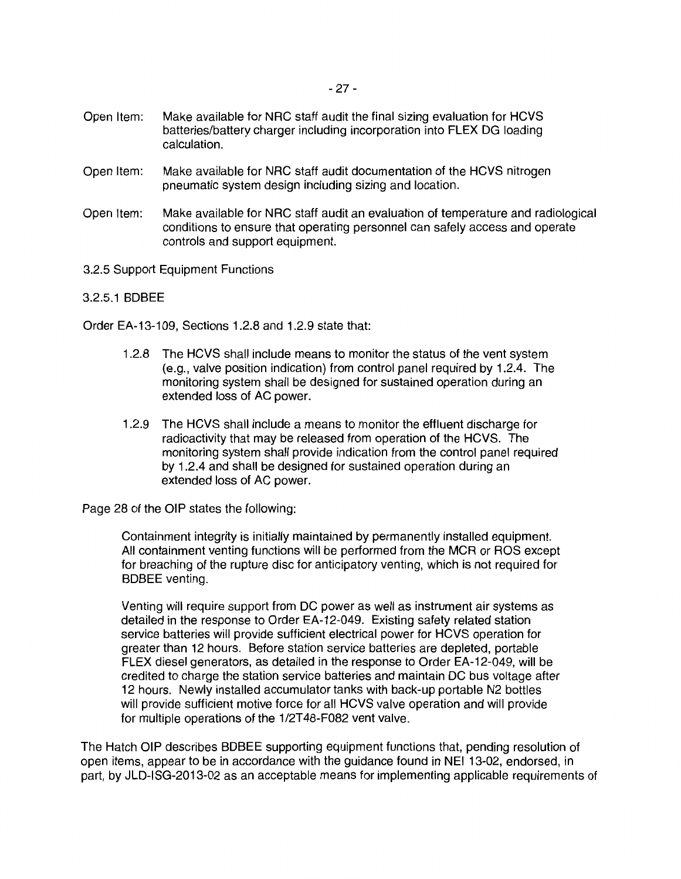- Open Item: Make available for NRC staff audit documentation of the HCVS nitrogen pneumatic system design including sizing and location.
- Open Item: Make available for NRC staff audit an evaluation of temperature and radiological conditions to ensure that operating personnel can safely access and operate controls and support equipment.
- 3.2.5 Support Equipment Functions
- 3.2.5.1 BDBEE

Order EA-13-109, Sections 1.2.8 and 1.2.9 state that:

- 1.2.8 The HCVS shall include means to monitor the status of the vent system (e.g., valve position indication) from control panel required by 1.2.4. The monitoring system shall be designed for sustained operation during an extended loss of AC power.
- 1.2.9 The HCVS shall include a means to monitor the effluent discharge for radioactivity that may be released from operation of the HCVS. The monitoring system shall provide indication from the control panel required by 1.2.4 and shall be designed for sustained operation during an extended loss of AC power.

Page 28 of the OIP states the following:

Containment integrity is initially maintained by permanently installed equipment. All containment venting functions will be performed from the MCA or ROS except for breaching of the rupture disc for anticipatory venting, which is not required for BDBEE venting.

Venting will require support from DC power as well as instrument air systems as detailed in the response to Order EA-12-049. Existing safety related station service batteries will provide sufficient electrical power for HCVS operation for greater than 12 hours. Before station service batteries are depleted, portable FLEX diesel generators, as detailed in the response to Order EA-12-049, will be credited to charge the station service batteries and maintain DC bus voltage after 12 hours. Newly installed accumulator tanks with back-up portable N2 bottles will provide sufficient motive force for all HCVS valve operation and will provide for multiple operations of the 1/2T48-F082 vent valve.

The Hatch OIP describes BDBEE supporting equipment functions that, pending resolution of open items, appear to be in accordance with the guidance found in NEI 13-02, endorsed, in part, by JLD-ISG-2013-02 as an acceptable means for implementing applicable requirements of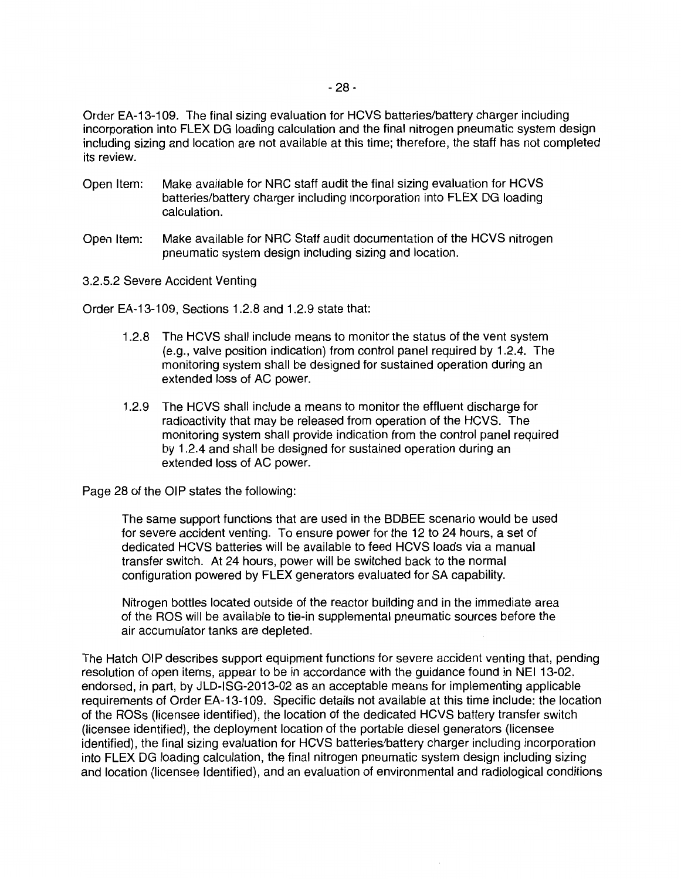Order EA-13-109. The final sizing evaluation for HCVS batteries/battery charger including incorporation into FLEX DG loading calculation and the final nitrogen pneumatic system design including sizing and location are not available at this time; therefore, the staff has not completed its review.

- Open Item: Make available for NRC staff audit the final sizing evaluation for HCVS batteries/battery charger including incorporation into FLEX DG loading calculation.
- Open Item: Make available for NRC Staff audit documentation of the HCVS nitrogen pneumatic system design including sizing and location.
- 3.2.5.2 Severe Accident Venting

Order EA-13-109, Sections 1.2.8 and 1.2.9 state that:

- 1.2.8 The HCVS shall include means to monitor the status of the vent system (e.g., valve position indication) from control panel required by 1.2.4. The monitoring system shall be designed for sustained operation during an extended loss of AC power.
- 1.2.9 The HCVS shall include a means to monitor the effluent discharge for radioactivity that may be released from operation of the HCVS. The monitoring system shall provide indication from the control panel required by 1.2.4 and shall be designed for sustained operation during an extended loss of AC power.

Page 28 of the OIP states the following:

The same support functions that are used in the BDBEE scenario would be used for severe accident venting. To ensure power for the 12 to 24 hours, a set of dedicated HCVS batteries will be available to feed HCVS loads via a manual transfer switch. At 24 hours, power will be switched back to the normal configuration powered by FLEX generators evaluated for SA capability.

Nitrogen bottles located outside of the reactor building and in the immediate area of the ROS will be available to tie-in supplemental pneumatic sources before the air accumulator tanks are depleted.

The Hatch OIP describes support equipment functions for severe accident venting that, pending resolution of open items, appear to be in accordance with the guidance found in NEI 13-02, endorsed, in part, by JLD-ISG-2013-02 as an acceptable means for implementing applicable requirements of Order EA-13-109. Specific details not available at this time include: the location of the ROSs (licensee identified), the location of the dedicated HCVS battery transfer switch (licensee identified), the deployment location of the portable diesel generators (licensee identified), the final sizing evaluation for HCVS batteries/battery charger including incorporation into FLEX DG loading calculation, the final nitrogen pneumatic system design including sizing and location (licensee Identified), and an evaluation of environmental and radiological conditions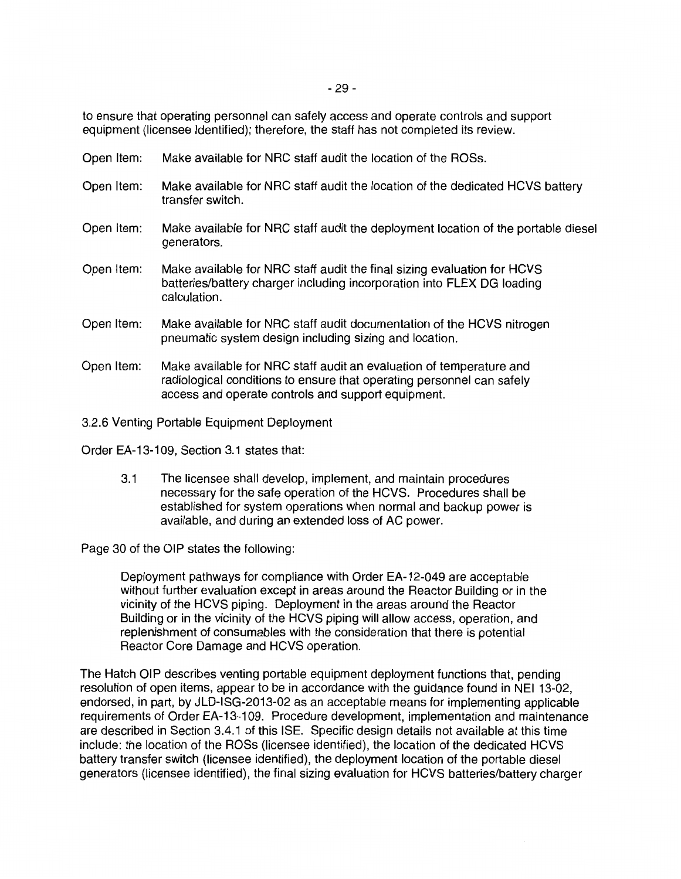to ensure that operating personnel can safely access and operate controls and support equipment (licensee Identified); therefore, the staff has not completed its review.

- Open Item: Make available for NRC staff audit the location of the ROSs.
- Open Item: Make available for NRC staff audit the location of the dedicated HCVS battery transfer switch.
- Open Item: Make available for NRC staff audit the deployment location of the portable diesel generators.
- Open Item: Make available for NRC staff audit the final sizing evaluation for HCVS batteries/battery charger including incorporation into FLEX DG loading calculation.
- Open Item: Make available for NRC staff audit documentation of the HCVS nitrogen pneumatic system design including sizing and location.
- Open Item: Make available for NRC staff audit an evaluation of temperature and radiological conditions to ensure that operating personnel can safely access and operate controls and support equipment.

3.2.6 Venting Portable Equipment Deployment

Order EA-13-109, Section 3.1 states that:

3.1 The licensee shall develop, implement, and maintain procedures necessary for the safe operation of the HCVS. Procedures shall be established for system operations when normal and backup power is available, and during an extended loss of AC power.

Page 30 of the OIP states the following:

Deployment pathways for compliance with Order EA-12-049 are acceptable without further evaluation except in areas around the Reactor Building or in the vicinity of the HCVS piping. Deployment in the areas around the Reactor Building or in the vicinity of the HCVS piping will allow access, operation, and replenishment of consumables with the consideration that there is potential Reactor Core Damage and HCVS operation.

The Hatch OIP describes venting portable equipment deployment functions that, pending resolution of open items, appear to be in accordance with the guidance found in NEI 13-02, endorsed, in part, by JLD-ISG-2013-02 as an acceptable means for implementing applicable requirements of Order EA-13-109. Procedure development, implementation and maintenance are described in Section 3.4.1 of this ISE. Specific design details not available at this time include: the location of the ROSs (licensee identified), the location of the dedicated HCVS battery transfer switch (licensee identified), the deployment location of the portable diesel generators (licensee identified), the final sizing evaluation for HCVS batteries/battery charger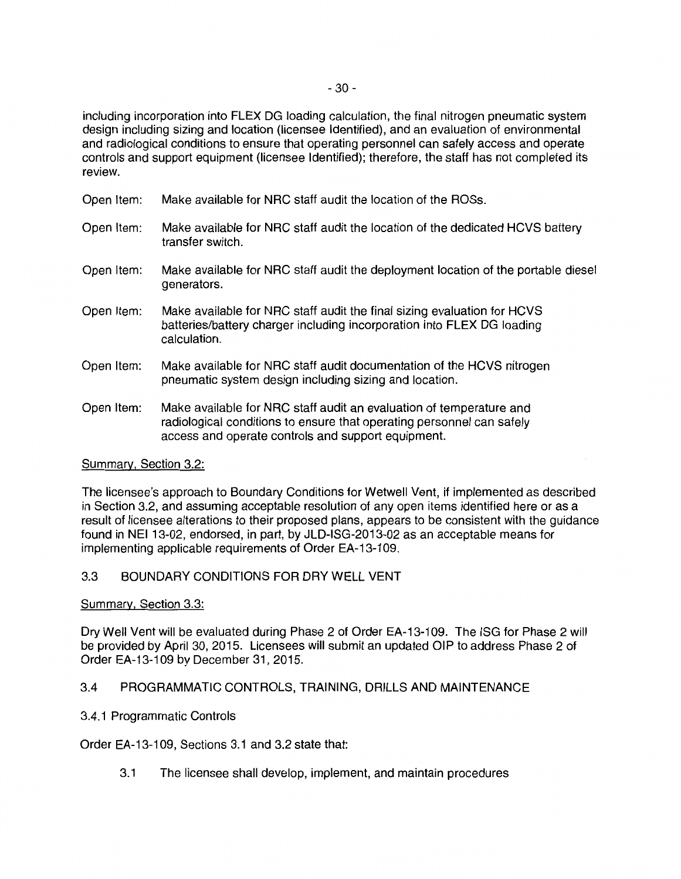including incorporation into FLEX DG loading calculation, the final nitrogen pneumatic system design including sizing and location (licensee Identified), and an evaluation of environmental and radiological conditions to ensure that operating personnel can safely access and operate controls and support equipment (licensee Identified); therefore, the staff has not completed its review.

- Open Item: Make available for NRG staff audit the location of the ROSs.
- Open Item: Make available for NRG staff audit the location of the dedicated HCVS battery transfer switch.
- Open Item: Make available for NRG staff audit the deployment location of the portable diesel generators.
- Open Item: Make available for NRG staff audit the final sizing evaluation for HCVS batteries/battery charger including incorporation into FLEX DG loading calculation.
- Open Item: Make available for NRG staff audit documentation of the HCVS nitrogen pneumatic system design including sizing and location.
- Open Item: Make available for NRG staff audit an evaluation of temperature and radiological conditions to ensure that operating personnel can safely access and operate controls and support equipment.

### Summary, Section 3.2:

The licensee's approach to Boundary Conditions for Wetwell Vent, if implemented as described in Section 3.2, and assuming acceptable resolution of any open items identified here or as a result of licensee alterations to their proposed plans, appears to be consistent with the guidance found in NEI 13-02, endorsed, in part, by JLD-ISG-2013-02 as an acceptable means for implementing applicable requirements of Order EA-13-109.

### 3.3 BOUNDARY CONDITIONS FOR DRY WELL VENT

### Summary, Section 3.3:

Dry Well Vent will be evaluated during Phase 2 of Order EA-13-109. The ISG for Phase 2 will be provided by April 30, 2015. Licensees will submit an updated OIP to address Phase 2 of Order EA-13-109 by December31, 2015.

### 3.4 PROGRAMMATIC CONTROLS, TRAINING, DRILLS AND MAINTENANCE

### 3.4.1 Programmatic Controls

Order EA-13-109, Sections 3.1 and 3.2 state that:

3.1 The licensee shall develop, implement, and maintain procedures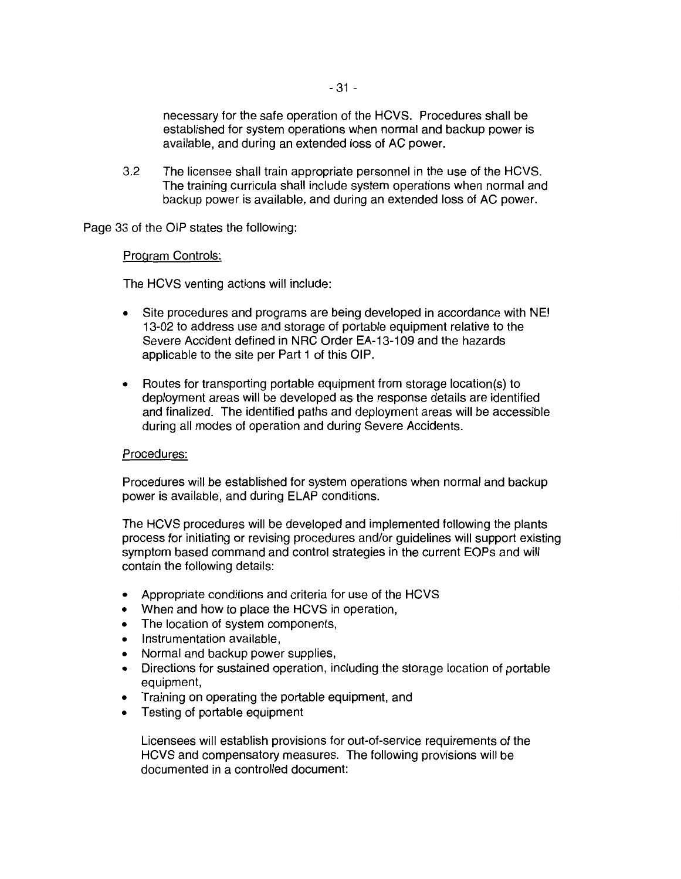necessary for the safe operation of the HCVS. Procedures shall be established for system operations when normal and backup power is available, and during an extended loss of AC power.

3.2 The licensee shall train appropriate personnel in the use of the HCVS. The training curricula shall include system operations when normal and backup power is available, and during an extended loss of AC power.

Page 33 of the OIP states the following:

### Program Controls:

The HCVS venting actions will include:

- Site procedures and programs are being developed in accordance with NEI 13-02 to address use and storage of portable equipment relative to the Severe Accident defined in NRC Order EA-13-109 and the hazards applicable to the site per Part 1 of this OIP.
- Routes for transporting portable equipment from storage location(s) to deployment areas will be developed as the response details are identified and finalized. The identified paths and deployment areas will be accessible during all modes of operation and during Severe Accidents.

### Procedures:

Procedures will be established for system operations when normal and backup power is available, and during ELAP conditions.

The HCVS procedures will be developed and implemented following the plants process for initiating or revising procedures and/or guidelines will support existing symptom based command and control strategies in the current EOPs and will contain the following details:

- Appropriate conditions and criteria for use of the HCVS
- When and how to place the HCVS in operation,
- The location of system components,
- Instrumentation available,
- Normal and backup power supplies,
- Directions for sustained operation, including the storage location of portable equipment,
- Training on operating the portable equipment, and
- Testing of portable equipment

Licensees will establish provisions for out-of-service requirements of the HCVS and compensatory measures. The following provisions will be documented in a controlled document: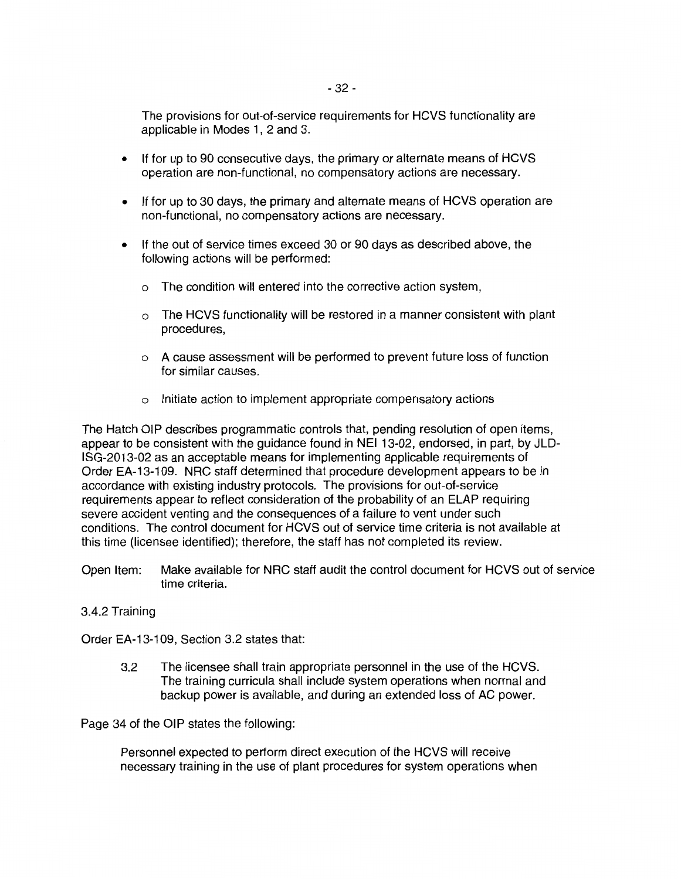The provisions for out-of-service requirements for HCVS functionality are applicable in Modes 1, 2 and 3.

- If for up to 90 consecutive days, the primary or alternate means of HCVS operation are non-functional, no compensatory actions are necessary.
- If for up to 30 days, the primary and alternate means of HCVS operation are non-functional, no compensatory actions are necessary.
- If the out of service times exceed 30 or 90 days as described above, the following actions will be performed:
	- o The condition will entered into the corrective action system,
	- $\circ$  The HCVS functionality will be restored in a manner consistent with plant procedures,
	- o A cause assessment will be performed to prevent future loss of function for similar causes.
	- o Initiate action to implement appropriate compensatory actions

The Hatch OIP describes programmatic controls that, pending resolution of open items, appear to be consistent with the guidance found in NEI 13-02, endorsed, in part, by JLD-ISG-2013-02 as an acceptable means for implementing applicable requirements of Order EA-13-109. NRG staff determined that procedure development appears to be in accordance with existing industry protocols. The provisions for out-of-service requirements appear to reflect consideration of the probability of an ELAP requiring severe accident venting and the consequences of a failure to vent under such conditions. The control document for HCVS out of service time criteria is not available at this time (licensee identified); therefore, the staff has not completed its review.

Open Item: Make available for NRG staff audit the control document for HCVS out of service time criteria.

### 3.4.2 Training

Order EA-13-109, Section 3.2 states that:

3.2 The licensee shall train appropriate personnel in the use of the HCVS. The training curricula shall include system operations when normal and backup power is available, and during an extended loss of AC power.

Page 34 of the OIP states the following:

Personnel expected to perform direct execution of the HCVS will receive necessary training in the use of plant procedures for system operations when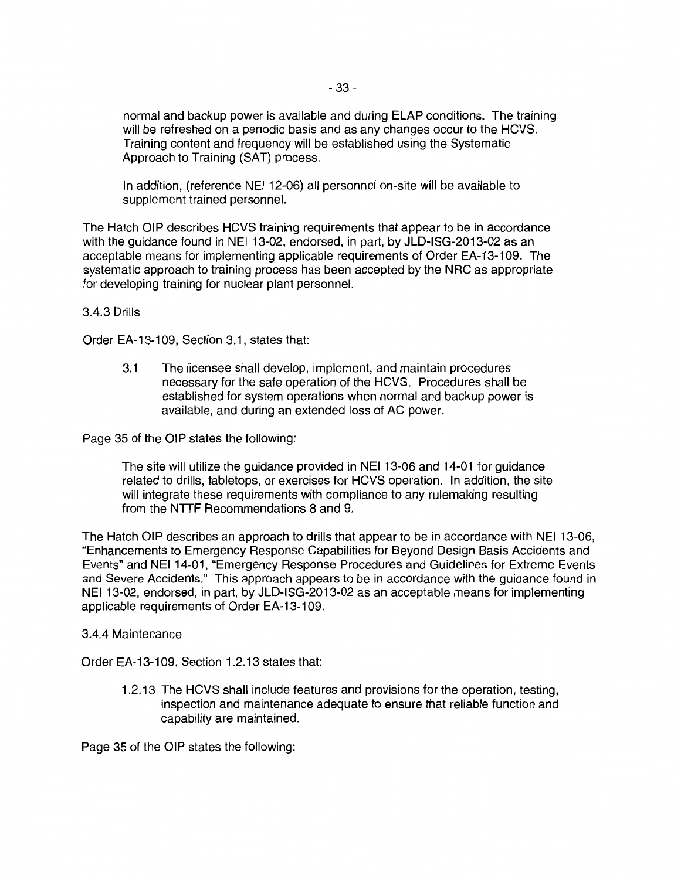normal and backup power is available and during ELAP conditions. The training will be refreshed on a periodic basis and as any changes occur to the HCVS. Training content and frequency will be established using the Systematic Approach to Training (SAT) process.

In addition, (reference NEI 12-06) all personnel on-site will be available to supplement trained personnel.

The Hatch OIP describes HCVS training requirements that appear to be in accordance with the guidance found in NEI 13-02, endorsed, in part, by JLD-ISG-2013-02 as an acceptable means for implementing applicable requirements of Order EA-13-109. The systematic approach to training process has been accepted by the NRC as appropriate for developing training for nuclear plant personnel.

3.4.3 Drills

Order EA-13-109, Section 3.1, states that:

3.1 The licensee shall develop, implement, and maintain procedures necessary for the safe operation of the HCVS. Procedures shall be established for system operations when normal and backup power is available, and during an extended loss of AC power.

Page 35 of the OIP states the following:

The site will utilize the guidance provided in NEI 13-06 and 14-01 for guidance related to drills, tabletops, or exercises for HCVS operation. In addition, the site will integrate these requirements with compliance to any rulemaking resulting from the NTTF Recommendations 8 and 9.

The Hatch OIP describes an approach to drills that appear to be in accordance with NEI 13-06, "Enhancements to Emergency Response Capabilities for Beyond Design Basis Accidents and Events" and NEI 14-01, "Emergency Response Procedures and Guidelines for Extreme Events and Severe Accidents." This approach appears to be in accordance with the guidance found in NEI 13-02, endorsed, in part, by JLD-ISG-2013-02 as an acceptable means for implementing applicable requirements of Order EA-13-109.

### 3.4.4 Maintenance

Order EA-13-109, Section 1.2.13 states that:

1.2.13 The HCVS shall include features and provisions for the operation, testing, inspection and maintenance adequate to ensure that reliable function and capability are maintained.

Page 35 of the OIP states the following: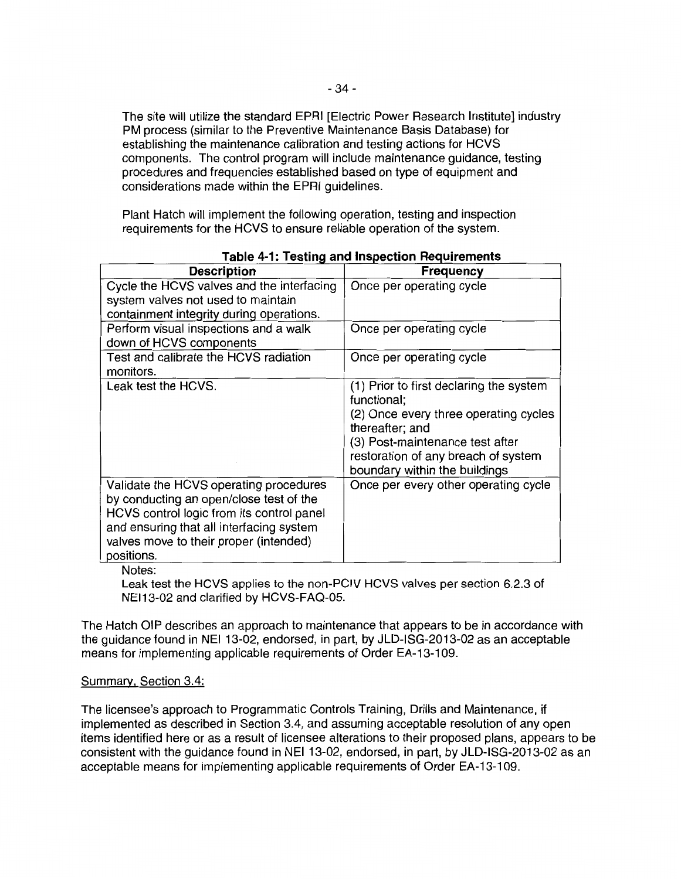The site will utilize the standard EPRI [Electric Power Research Institute] industry PM process (similar to the Preventive Maintenance Basis Database) for establishing the maintenance calibration and testing actions for HCVS components. The control program will include maintenance guidance, testing procedures and frequencies established based on type of equipment and considerations made within the EPRI guidelines.

Plant Hatch will implement the following operation, testing and inspection requirements for the HCVS to ensure reliable operation of the system.

| <b>Description</b>                                                                                                                                                                                                                 | <b>Frequency</b>                                                                                                                                                                                                              |
|------------------------------------------------------------------------------------------------------------------------------------------------------------------------------------------------------------------------------------|-------------------------------------------------------------------------------------------------------------------------------------------------------------------------------------------------------------------------------|
| Cycle the HCVS valves and the interfacing<br>system valves not used to maintain<br>containment integrity during operations.                                                                                                        | Once per operating cycle                                                                                                                                                                                                      |
| Perform visual inspections and a walk<br>down of HCVS components                                                                                                                                                                   | Once per operating cycle                                                                                                                                                                                                      |
| Test and calibrate the HCVS radiation<br>monitors.                                                                                                                                                                                 | Once per operating cycle                                                                                                                                                                                                      |
| Leak test the HCVS.                                                                                                                                                                                                                | (1) Prior to first declaring the system<br>functional;<br>(2) Once every three operating cycles<br>thereafter; and<br>(3) Post-maintenance test after<br>restoration of any breach of system<br>boundary within the buildings |
| Validate the HCVS operating procedures<br>by conducting an open/close test of the<br>HCVS control logic from its control panel<br>and ensuring that all interfacing system<br>valves move to their proper (intended)<br>positions. | Once per every other operating cycle                                                                                                                                                                                          |

| <b>Table 4-1: Testing and Inspection Requirements</b> |
|-------------------------------------------------------|
|-------------------------------------------------------|

Notes:

Leak test the HCVS applies to the non-PCIV HCVS valves per section 6.2.3 of NEl13-02 and clarified by HCVS-FAQ-05.

The Hatch OIP describes an approach to maintenance that appears to be in accordance with the guidance found in NEI 13-02, endorsed, in part, by JLD-ISG-2013-02 as an acceptable means for implementing applicable requirements of Order EA-13-109.

### Summary, Section 3.4:

The licensee's approach to Programmatic Controls Training, Drills and Maintenance, if implemented as described in Section 3.4, and assuming acceptable resolution of any open items identified here or as a result of licensee alterations to their proposed plans, appears to be consistent with the guidance found in NEI 13-02, endorsed, in part, by JLD-ISG-2013-02 as an acceptable means for implementing applicable requirements of Order EA-13-109.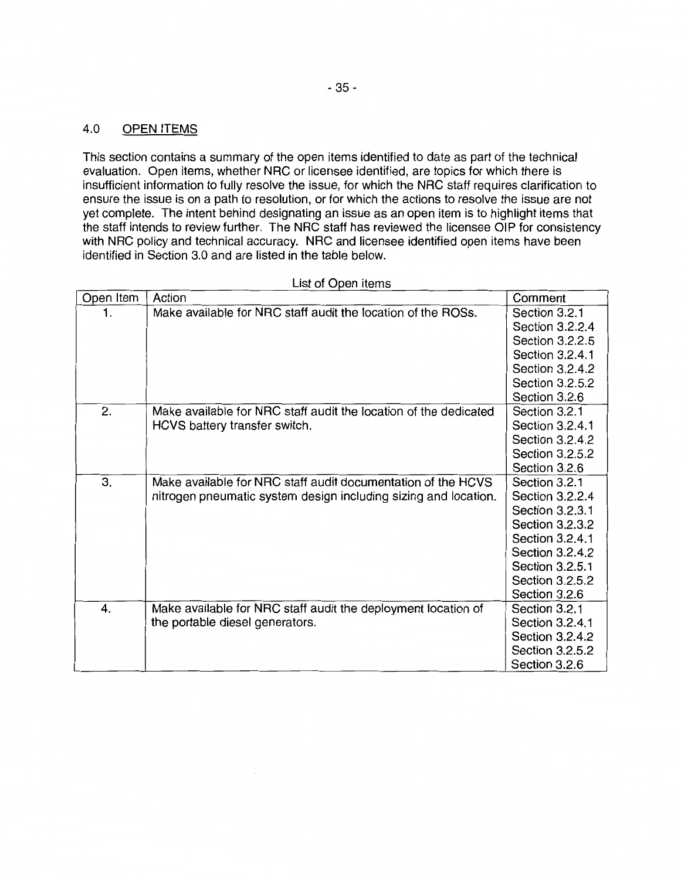# 4.0 OPEN ITEMS

This section contains a summary of the open items identified to date as part of the technical evaluation. Open items, whether NRC or licensee identified, are topics for which there is insufficient information to fully resolve the issue, for which the NRC staff requires clarification to ensure the issue is on a path to resolution, or for which the actions to resolve the issue are not yet complete. The intent behind designating an issue as an open item is to highlight items that the staff intends to review further. The NRC staff has reviewed the licensee OIP for consistency with NRC policy and technical accuracy. NRC and licensee identified open items have been identified in Section 3.0 and are listed in the table below.

| Open Item | Action                                                           | Comment         |
|-----------|------------------------------------------------------------------|-----------------|
| 1.        | Make available for NRC staff audit the location of the ROSs.     | Section 3.2.1   |
|           |                                                                  | Section 3.2.2.4 |
|           |                                                                  | Section 3.2.2.5 |
|           |                                                                  | Section 3.2.4.1 |
|           |                                                                  | Section 3.2.4.2 |
|           |                                                                  | Section 3.2.5.2 |
|           |                                                                  | Section 3.2.6   |
| 2.        | Make available for NRC staff audit the location of the dedicated | Section 3.2.1   |
|           | HCVS battery transfer switch.                                    | Section 3.2.4.1 |
|           |                                                                  | Section 3.2.4.2 |
|           |                                                                  | Section 3.2.5.2 |
|           |                                                                  | Section 3.2.6   |
| 3.        | Make available for NRC staff audit documentation of the HCVS     | Section 3.2.1   |
|           | nitrogen pneumatic system design including sizing and location.  | Section 3.2.2.4 |
|           |                                                                  | Section 3.2.3.1 |
|           |                                                                  | Section 3.2.3.2 |
|           |                                                                  | Section 3.2.4.1 |
|           |                                                                  | Section 3.2.4.2 |
|           |                                                                  | Section 3.2.5.1 |
|           |                                                                  | Section 3.2.5.2 |
|           |                                                                  | Section 3.2.6   |
| 4.        | Make available for NRC staff audit the deployment location of    | Section 3.2.1   |
|           | the portable diesel generators.                                  | Section 3.2.4.1 |
|           |                                                                  | Section 3.2.4.2 |
|           |                                                                  | Section 3.2.5.2 |
|           |                                                                  | Section 3.2.6   |

List of Open items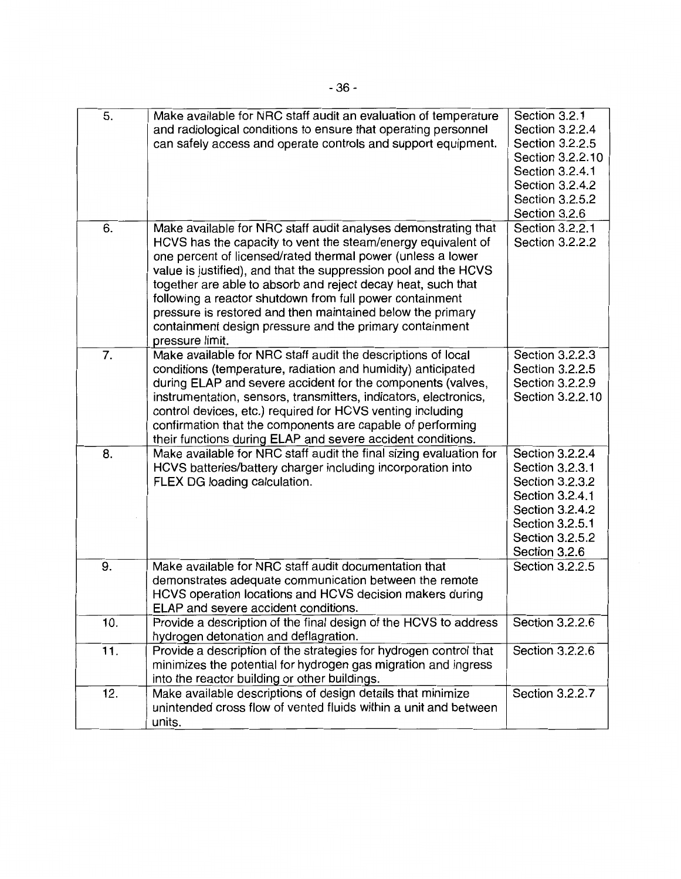| 5.  | Make available for NRC staff audit an evaluation of temperature<br>and radiological conditions to ensure that operating personnel<br>can safely access and operate controls and support equipment.                                                                                                                                                                                                                                                                                                                                       | Section 3.2.1<br>Section 3.2.2.4<br>Section 3.2.2.5<br>Section 3.2.2.10<br>Section 3.2.4.1<br>Section 3.2.4.2<br>Section 3.2.5.2<br>Section 3.2.6  |
|-----|------------------------------------------------------------------------------------------------------------------------------------------------------------------------------------------------------------------------------------------------------------------------------------------------------------------------------------------------------------------------------------------------------------------------------------------------------------------------------------------------------------------------------------------|----------------------------------------------------------------------------------------------------------------------------------------------------|
| 6.  | Make available for NRC staff audit analyses demonstrating that<br>HCVS has the capacity to vent the steam/energy equivalent of<br>one percent of licensed/rated thermal power (unless a lower<br>value is justified), and that the suppression pool and the HCVS<br>together are able to absorb and reject decay heat, such that<br>following a reactor shutdown from full power containment<br>pressure is restored and then maintained below the primary<br>containment design pressure and the primary containment<br>pressure limit. | Section 3.2.2.1<br>Section 3.2.2.2                                                                                                                 |
| 7.  | Make available for NRC staff audit the descriptions of local<br>conditions (temperature, radiation and humidity) anticipated<br>during ELAP and severe accident for the components (valves,<br>instrumentation, sensors, transmitters, indicators, electronics,<br>control devices, etc.) required for HCVS venting including<br>confirmation that the components are capable of performing<br>their functions during ELAP and severe accident conditions.                                                                               | Section 3.2.2.3<br>Section 3.2.2.5<br>Section 3.2.2.9<br>Section 3.2.2.10                                                                          |
| 8.  | Make available for NRC staff audit the final sizing evaluation for<br>HCVS batteries/battery charger including incorporation into<br>FLEX DG loading calculation.                                                                                                                                                                                                                                                                                                                                                                        | Section 3.2.2.4<br>Section 3.2.3.1<br>Section 3.2.3.2<br>Section 3.2.4.1<br>Section 3.2.4.2<br>Section 3.2.5.1<br>Section 3.2.5.2<br>Section 3.2.6 |
| 9.  | Make available for NRC staff audit documentation that<br>demonstrates adequate communication between the remote<br>HCVS operation locations and HCVS decision makers during<br>ELAP and severe accident conditions.                                                                                                                                                                                                                                                                                                                      | Section 3.2.2.5                                                                                                                                    |
| 10. | Provide a description of the final design of the HCVS to address<br>hydrogen detonation and deflagration.                                                                                                                                                                                                                                                                                                                                                                                                                                | Section 3.2.2.6                                                                                                                                    |
| 11. | Provide a description of the strategies for hydrogen control that<br>minimizes the potential for hydrogen gas migration and ingress<br>into the reactor building or other buildings.                                                                                                                                                                                                                                                                                                                                                     | Section 3.2.2.6                                                                                                                                    |
| 12. | Make available descriptions of design details that minimize<br>unintended cross flow of vented fluids within a unit and between<br>units.                                                                                                                                                                                                                                                                                                                                                                                                | Section 3.2.2.7                                                                                                                                    |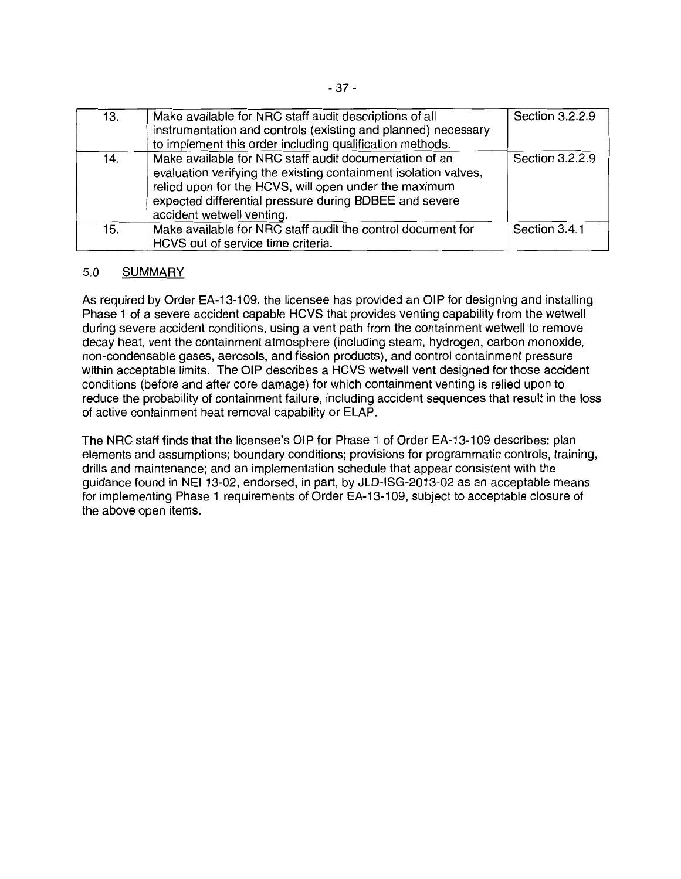| 13. | Make available for NRC staff audit descriptions of all<br>instrumentation and controls (existing and planned) necessary<br>to implement this order including qualification methods.                                                                                       | Section 3.2.2.9 |
|-----|---------------------------------------------------------------------------------------------------------------------------------------------------------------------------------------------------------------------------------------------------------------------------|-----------------|
| 14. | Make available for NRC staff audit documentation of an<br>evaluation verifying the existing containment isolation valves,<br>relied upon for the HCVS, will open under the maximum<br>expected differential pressure during BDBEE and severe<br>accident wetwell venting. | Section 3.2.2.9 |
| 15. | Make available for NRC staff audit the control document for<br>HCVS out of service time criteria.                                                                                                                                                                         | Section 3.4.1   |

## 5.0 SUMMARY

As required by Order EA-13-109, the licensee has provided an OIP for designing and installing Phase 1 of a severe accident capable HCVS that provides venting capability from the wetwell during severe accident conditions, using a vent path from the containment wetwell to remove decay heat, vent the containment atmosphere (including steam, hydrogen, carbon monoxide, non-condensable gases, aerosols, and fission products), and control containment pressure within acceptable limits. The OIP describes a HCVS wetwell vent designed for those accident conditions (before and after core damage) for which containment venting is relied upon to reduce the probability of containment failure, including accident sequences that result in the loss of active containment heat removal capability or ELAP.

The NRC staff finds that the licensee's OIP for Phase 1 of Order EA-13-109 describes: plan elements and assumptions; boundary conditions; provisions for programmatic controls, training, drills and maintenance; and an implementation schedule that appear consistent with the guidance found in NEI 13-02, endorsed, in part, by JLD-ISG-2013-02 as an acceptable means for implementing Phase 1 requirements of Order EA-13-109, subject to acceptable closure of the above open items.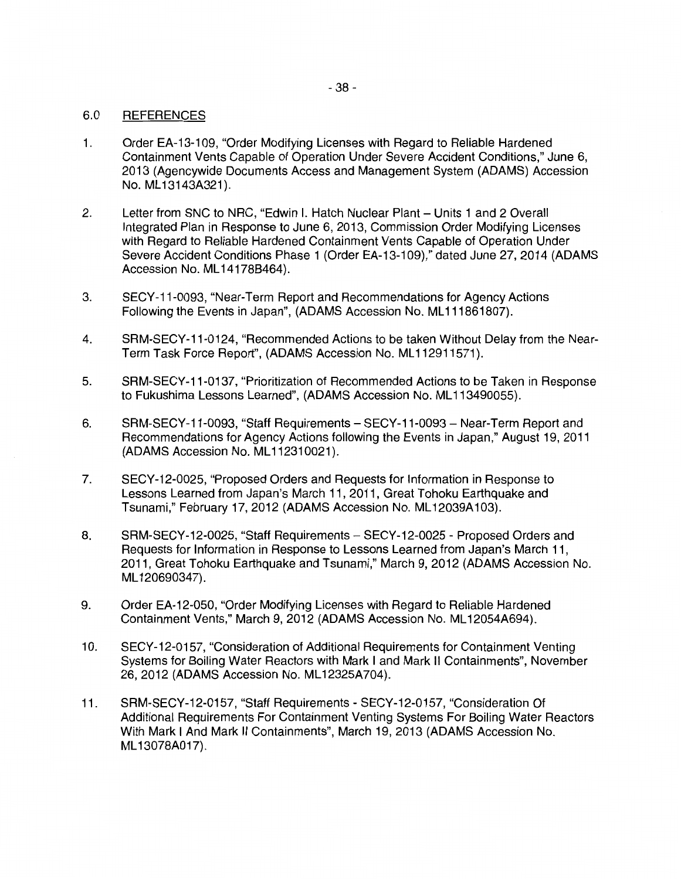### 6.0 REFERENCES

- 1. Order EA-13-109, "Order Modifying Licenses with Regard to Reliable Hardened Containment Vents Capable of Operation Under Severe Accident Conditions," June 6, 2013 (Agencywide Documents Access and Management System (ADAMS) Accession No. ML13143A321).
- 2. Letter from SNC to NRC, "Edwin I. Hatch Nuclear Plant Units 1 and 2 Overall Integrated Plan in Response to June 6, 2013, Commission Order Modifying Licenses with Regard to Reliable Hardened Containment Vents Capable of Operation Under Severe Accident Conditions Phase 1 (Order EA-13-109)," dated June 27, 2014 (ADAMS Accession No. ML 14178B464).
- 3. SECY-11-0093, "Near-Term Report and Recommendations for Agency Actions Following the Events in Japan", (ADAMS Accession No. ML111861807).
- 4. SRM-SECY-11-0124, "Recommended Actions to be taken Without Delay from the Near-Term Task Force Report", (ADAMS Accession No. ML112911571).
- 5. SRM-SECY-11-0137, "Prioritization of Recommended Actions to be Taken in Response to Fukushima Lessons Learned", (ADAMS Accession No. ML 113490055).
- 6. SRM-SECY-11-0093, "Staff Requirements- SECY-11-0093- Near-Term Report and Recommendations for Agency Actions following the Events in Japan," August 19, 2011 (ADAMS Accession No. ML 112310021).
- 7. SECY-12-0025, "Proposed Orders and Requests for Information in Response to Lessons Learned from Japan's March 11, 2011, Great Tohoku Earthquake and Tsunami," February 17, 2012 (ADAMS Accession No. ML 12039A 103).
- 8. SRM-SECY-12-0025, "Staff Requirements SECY-12-0025 Proposed Orders and Requests for Information in Response to Lessons Learned from Japan's March 11, 2011, Great Tohoku Earthquake and Tsunami," March 9, 2012 (ADAMS Accession No. ML 120690347).
- 9. Order EA-12-050, "Order Modifying Licenses with Regard to Reliable Hardened Containment Vents," March 9, 2012 (ADAMS Accession No. ML 12054A694).
- 10. SECY-12-0157, "Consideration of Additional Requirements for Containment Venting Systems for Boiling Water Reactors with Mark I and Mark II Containments", November 26, 2012 (ADAMS Accession No. ML 12325A704}.
- 11. SRM-SECY-12-0157, "Staff Requirements SECY-12-0157, "Consideration Of Additional Requirements For Containment Venting Systems For Boiling Water Reactors With Mark I And Mark II Containments", March 19, 2013 (ADAMS Accession No. ML 13078A017).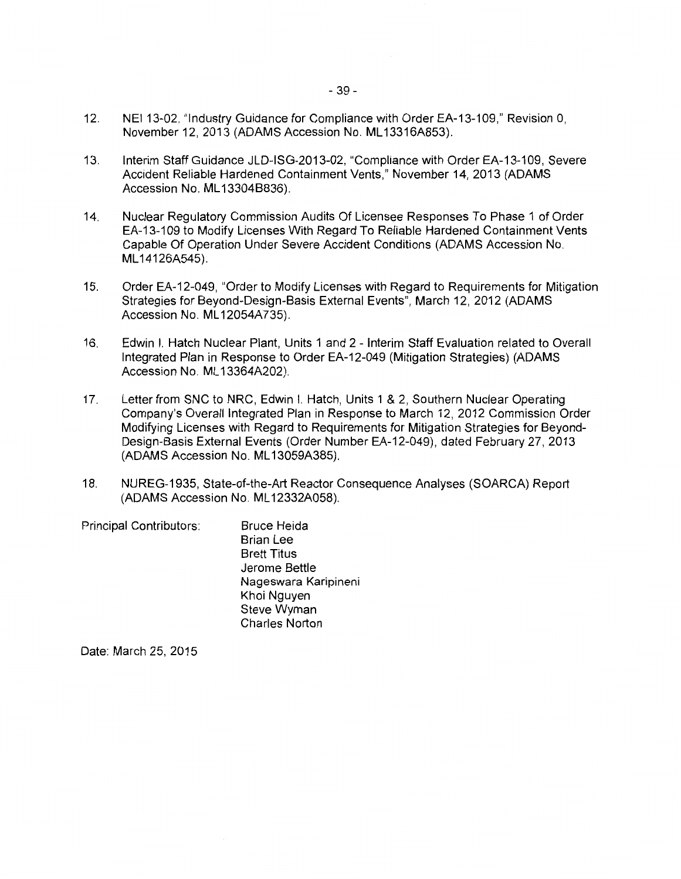- 12. NEI 13-02, "Industry Guidance for Compliance with Order EA-13-109," Revision 0, November 12, 2013 (ADAMS Accession No. ML13316A853).
- 13. Interim Staff Guidance JLD-ISG-2013-02, "Compliance with Order EA-13-109, Severe Accident Reliable Hardened Containment Vents," November 14, 2013 (ADAMS Accession No. ML 13304B836).
- 14. Nuclear Regulatory Commission Audits Of Licensee Responses To Phase 1 of Order EA-13-109 to Modify Licenses With Regard To Reliable Hardened Containment Vents Capable Of Operation Under Severe Accident Conditions (ADAMS Accession No. ML 14126A545).
- 15. Order EA-12-049, "Order to Modify Licenses with Regard to Requirements for Mitigation Strategies for Beyond-Design-Basis External Events", March 12, 2012 (ADAMS Accession No. ML 12054A735).
- 16. Edwin I. Hatch Nuclear Plant, Units 1 and 2 Interim Staff Evaluation related to Overall Integrated Plan in Response to Order EA-12-049 (Mitigation Strategies) (ADAMS Accession No. ML 13364A202).
- 17. Letter from SNC to NRC, Edwin I. Hatch, Units 1 & 2, Southern Nuclear Operating Company's Overall Integrated Plan in Response to March 12, 2012 Commission Order Modifying Licenses with Regard to Requirements for Mitigation Strategies for Beyond-Design-Basis External Events (Order Number EA-12-049), dated February 27, 2013 (ADAMS Accession No. ML 13059A385).
- 18. NUREG-1935, State-of-the-Art Reactor Consequence Analyses (SOARCA) Report (ADAMS Accession No. ML 12332A058).

Principal Contributors: Bruce Heida Brian Lee Brett Titus Jerome Bettle Nageswara Karipineni Khoi Nguyen Steve Wyman Charles Norton

Date: March 25, 2015